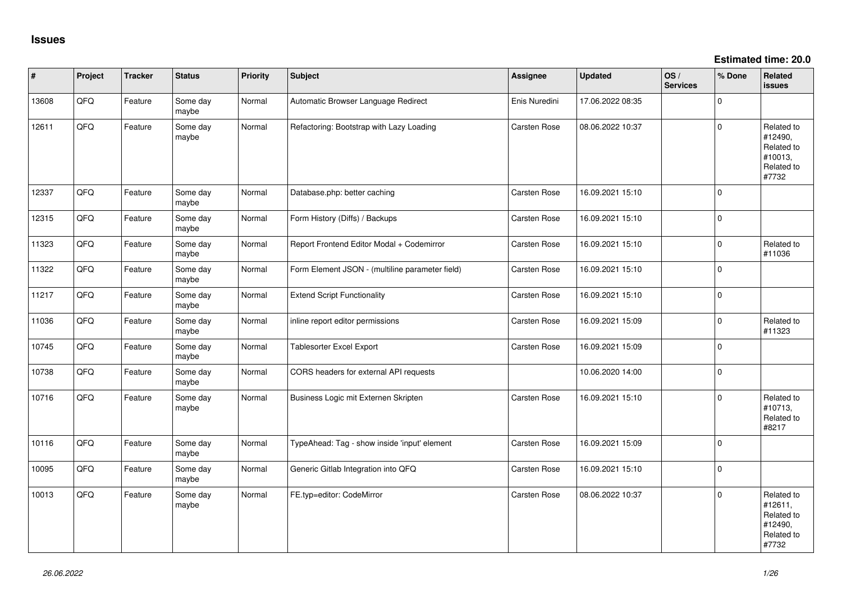**Estimated time: 20.0**

| #     | Project | <b>Tracker</b> | <b>Status</b>     | <b>Priority</b> | <b>Subject</b>                                  | Assignee            | <b>Updated</b>   | OS/<br><b>Services</b> | % Done   | Related<br><b>issues</b>                                              |
|-------|---------|----------------|-------------------|-----------------|-------------------------------------------------|---------------------|------------------|------------------------|----------|-----------------------------------------------------------------------|
| 13608 | QFQ     | Feature        | Some day<br>maybe | Normal          | Automatic Browser Language Redirect             | Enis Nuredini       | 17.06.2022 08:35 |                        | $\Omega$ |                                                                       |
| 12611 | QFQ     | Feature        | Some day<br>maybe | Normal          | Refactoring: Bootstrap with Lazy Loading        | Carsten Rose        | 08.06.2022 10:37 |                        | $\Omega$ | Related to<br>#12490,<br>Related to<br>#10013,<br>Related to<br>#7732 |
| 12337 | QFQ     | Feature        | Some day<br>maybe | Normal          | Database.php: better caching                    | Carsten Rose        | 16.09.2021 15:10 |                        | $\Omega$ |                                                                       |
| 12315 | QFQ     | Feature        | Some day<br>maybe | Normal          | Form History (Diffs) / Backups                  | Carsten Rose        | 16.09.2021 15:10 |                        | $\Omega$ |                                                                       |
| 11323 | QFQ     | Feature        | Some day<br>maybe | Normal          | Report Frontend Editor Modal + Codemirror       | Carsten Rose        | 16.09.2021 15:10 |                        | $\Omega$ | Related to<br>#11036                                                  |
| 11322 | QFQ     | Feature        | Some day<br>maybe | Normal          | Form Element JSON - (multiline parameter field) | Carsten Rose        | 16.09.2021 15:10 |                        | $\Omega$ |                                                                       |
| 11217 | QFQ     | Feature        | Some day<br>maybe | Normal          | <b>Extend Script Functionality</b>              | Carsten Rose        | 16.09.2021 15:10 |                        | $\Omega$ |                                                                       |
| 11036 | QFQ     | Feature        | Some day<br>maybe | Normal          | inline report editor permissions                | Carsten Rose        | 16.09.2021 15:09 |                        | $\Omega$ | Related to<br>#11323                                                  |
| 10745 | QFQ     | Feature        | Some day<br>maybe | Normal          | Tablesorter Excel Export                        | Carsten Rose        | 16.09.2021 15:09 |                        | $\Omega$ |                                                                       |
| 10738 | QFQ     | Feature        | Some day<br>maybe | Normal          | CORS headers for external API requests          |                     | 10.06.2020 14:00 |                        | $\Omega$ |                                                                       |
| 10716 | QFQ     | Feature        | Some day<br>maybe | Normal          | Business Logic mit Externen Skripten            | Carsten Rose        | 16.09.2021 15:10 |                        | $\Omega$ | Related to<br>#10713,<br>Related to<br>#8217                          |
| 10116 | QFQ     | Feature        | Some day<br>maybe | Normal          | TypeAhead: Tag - show inside 'input' element    | Carsten Rose        | 16.09.2021 15:09 |                        | $\Omega$ |                                                                       |
| 10095 | QFQ     | Feature        | Some day<br>maybe | Normal          | Generic Gitlab Integration into QFQ             | Carsten Rose        | 16.09.2021 15:10 |                        | $\Omega$ |                                                                       |
| 10013 | QFQ     | Feature        | Some day<br>maybe | Normal          | FE.typ=editor: CodeMirror                       | <b>Carsten Rose</b> | 08.06.2022 10:37 |                        | $\Omega$ | Related to<br>#12611,<br>Related to<br>#12490,<br>Related to<br>#7732 |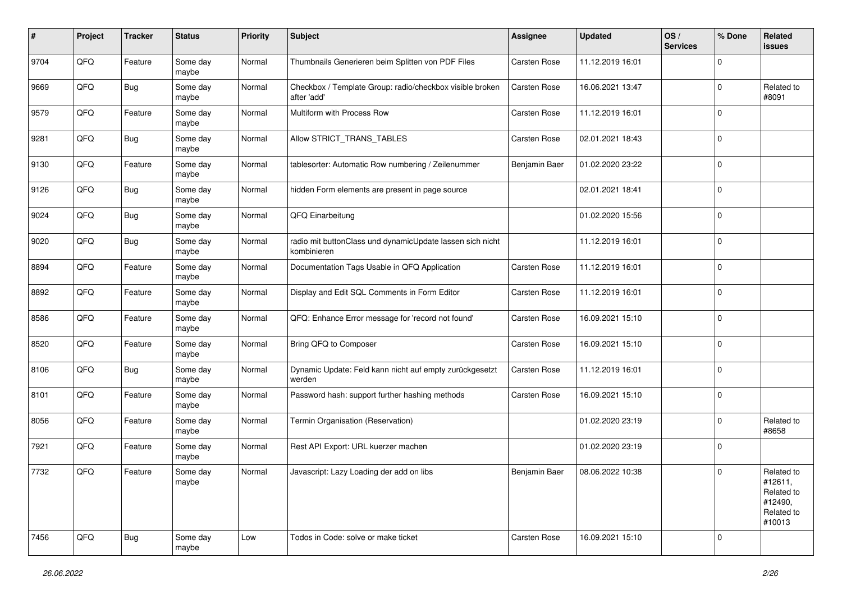| #    | Project | <b>Tracker</b> | <b>Status</b>     | <b>Priority</b> | <b>Subject</b>                                                           | Assignee            | <b>Updated</b>   | OS/<br><b>Services</b> | % Done      | Related<br><b>issues</b>                                               |
|------|---------|----------------|-------------------|-----------------|--------------------------------------------------------------------------|---------------------|------------------|------------------------|-------------|------------------------------------------------------------------------|
| 9704 | QFQ     | Feature        | Some day<br>maybe | Normal          | Thumbnails Generieren beim Splitten von PDF Files                        | Carsten Rose        | 11.12.2019 16:01 |                        | 0           |                                                                        |
| 9669 | QFQ     | Bug            | Some day<br>maybe | Normal          | Checkbox / Template Group: radio/checkbox visible broken<br>after 'add'  | <b>Carsten Rose</b> | 16.06.2021 13:47 |                        | $\Omega$    | Related to<br>#8091                                                    |
| 9579 | QFQ     | Feature        | Some day<br>maybe | Normal          | Multiform with Process Row                                               | Carsten Rose        | 11.12.2019 16:01 |                        | 0           |                                                                        |
| 9281 | QFQ     | Bug            | Some day<br>maybe | Normal          | Allow STRICT_TRANS_TABLES                                                | <b>Carsten Rose</b> | 02.01.2021 18:43 |                        | 0           |                                                                        |
| 9130 | QFQ     | Feature        | Some day<br>maybe | Normal          | tablesorter: Automatic Row numbering / Zeilenummer                       | Benjamin Baer       | 01.02.2020 23:22 |                        | $\Omega$    |                                                                        |
| 9126 | QFQ     | Bug            | Some day<br>maybe | Normal          | hidden Form elements are present in page source                          |                     | 02.01.2021 18:41 |                        | $\Omega$    |                                                                        |
| 9024 | QFQ     | <b>Bug</b>     | Some day<br>maybe | Normal          | QFQ Einarbeitung                                                         |                     | 01.02.2020 15:56 |                        | $\Omega$    |                                                                        |
| 9020 | QFQ     | Bug            | Some day<br>maybe | Normal          | radio mit buttonClass und dynamicUpdate lassen sich nicht<br>kombinieren |                     | 11.12.2019 16:01 |                        | $\mathbf 0$ |                                                                        |
| 8894 | QFQ     | Feature        | Some day<br>maybe | Normal          | Documentation Tags Usable in QFQ Application                             | Carsten Rose        | 11.12.2019 16:01 |                        | 0           |                                                                        |
| 8892 | QFQ     | Feature        | Some day<br>maybe | Normal          | Display and Edit SQL Comments in Form Editor                             | Carsten Rose        | 11.12.2019 16:01 |                        | 0           |                                                                        |
| 8586 | QFQ     | Feature        | Some day<br>maybe | Normal          | QFQ: Enhance Error message for 'record not found'                        | Carsten Rose        | 16.09.2021 15:10 |                        | $\mathbf 0$ |                                                                        |
| 8520 | QFQ     | Feature        | Some day<br>maybe | Normal          | Bring QFQ to Composer                                                    | <b>Carsten Rose</b> | 16.09.2021 15:10 |                        | $\Omega$    |                                                                        |
| 8106 | QFQ     | <b>Bug</b>     | Some day<br>maybe | Normal          | Dynamic Update: Feld kann nicht auf empty zurückgesetzt<br>werden        | Carsten Rose        | 11.12.2019 16:01 |                        | $\Omega$    |                                                                        |
| 8101 | QFQ     | Feature        | Some day<br>maybe | Normal          | Password hash: support further hashing methods                           | Carsten Rose        | 16.09.2021 15:10 |                        | $\Omega$    |                                                                        |
| 8056 | QFQ     | Feature        | Some day<br>maybe | Normal          | Termin Organisation (Reservation)                                        |                     | 01.02.2020 23:19 |                        | 0           | Related to<br>#8658                                                    |
| 7921 | QFQ     | Feature        | Some day<br>maybe | Normal          | Rest API Export: URL kuerzer machen                                      |                     | 01.02.2020 23:19 |                        | $\mathbf 0$ |                                                                        |
| 7732 | QFQ     | Feature        | Some day<br>maybe | Normal          | Javascript: Lazy Loading der add on libs                                 | Beniamin Baer       | 08.06.2022 10:38 |                        | $\Omega$    | Related to<br>#12611,<br>Related to<br>#12490,<br>Related to<br>#10013 |
| 7456 | QFQ     | Bug            | Some day<br>maybe | Low             | Todos in Code: solve or make ticket                                      | Carsten Rose        | 16.09.2021 15:10 |                        | $\mathbf 0$ |                                                                        |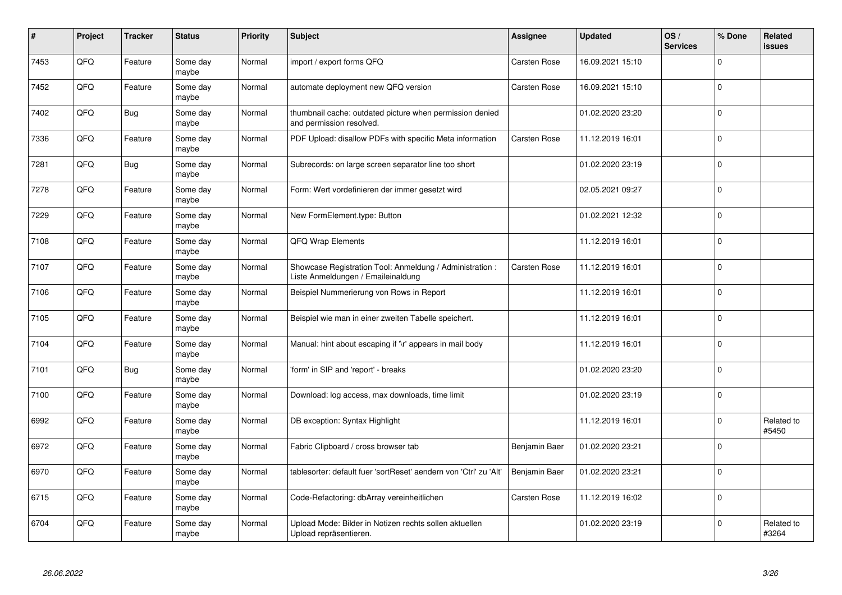| #    | Project | <b>Tracker</b> | <b>Status</b>     | <b>Priority</b> | <b>Subject</b>                                                                                 | Assignee            | <b>Updated</b>   | OS/<br><b>Services</b> | % Done      | <b>Related</b><br>issues |
|------|---------|----------------|-------------------|-----------------|------------------------------------------------------------------------------------------------|---------------------|------------------|------------------------|-------------|--------------------------|
| 7453 | QFQ     | Feature        | Some day<br>maybe | Normal          | import / export forms QFQ                                                                      | <b>Carsten Rose</b> | 16.09.2021 15:10 |                        | $\Omega$    |                          |
| 7452 | QFQ     | Feature        | Some day<br>maybe | Normal          | automate deployment new QFQ version                                                            | Carsten Rose        | 16.09.2021 15:10 |                        | $\Omega$    |                          |
| 7402 | QFQ     | <b>Bug</b>     | Some day<br>maybe | Normal          | thumbnail cache: outdated picture when permission denied<br>and permission resolved.           |                     | 01.02.2020 23:20 |                        | 0           |                          |
| 7336 | QFQ     | Feature        | Some day<br>maybe | Normal          | PDF Upload: disallow PDFs with specific Meta information                                       | Carsten Rose        | 11.12.2019 16:01 |                        | $\Omega$    |                          |
| 7281 | QFQ     | Bug            | Some day<br>maybe | Normal          | Subrecords: on large screen separator line too short                                           |                     | 01.02.2020 23:19 |                        | $\Omega$    |                          |
| 7278 | QFQ     | Feature        | Some day<br>maybe | Normal          | Form: Wert vordefinieren der immer gesetzt wird                                                |                     | 02.05.2021 09:27 |                        | $\mathbf 0$ |                          |
| 7229 | QFQ     | Feature        | Some day<br>maybe | Normal          | New FormElement.type: Button                                                                   |                     | 01.02.2021 12:32 |                        | $\Omega$    |                          |
| 7108 | QFQ     | Feature        | Some day<br>maybe | Normal          | QFQ Wrap Elements                                                                              |                     | 11.12.2019 16:01 |                        | $\Omega$    |                          |
| 7107 | QFQ     | Feature        | Some day<br>maybe | Normal          | Showcase Registration Tool: Anmeldung / Administration :<br>Liste Anmeldungen / Emaileinaldung | Carsten Rose        | 11.12.2019 16:01 |                        | $\Omega$    |                          |
| 7106 | QFQ     | Feature        | Some day<br>maybe | Normal          | Beispiel Nummerierung von Rows in Report                                                       |                     | 11.12.2019 16:01 |                        | 0           |                          |
| 7105 | QFQ     | Feature        | Some day<br>maybe | Normal          | Beispiel wie man in einer zweiten Tabelle speichert.                                           |                     | 11.12.2019 16:01 |                        | $\Omega$    |                          |
| 7104 | QFQ     | Feature        | Some day<br>maybe | Normal          | Manual: hint about escaping if '\r' appears in mail body                                       |                     | 11.12.2019 16:01 |                        | $\Omega$    |                          |
| 7101 | QFQ     | <b>Bug</b>     | Some day<br>maybe | Normal          | form' in SIP and 'report' - breaks                                                             |                     | 01.02.2020 23:20 |                        | $\mathbf 0$ |                          |
| 7100 | QFQ     | Feature        | Some day<br>maybe | Normal          | Download: log access, max downloads, time limit                                                |                     | 01.02.2020 23:19 |                        | $\Omega$    |                          |
| 6992 | QFQ     | Feature        | Some day<br>maybe | Normal          | DB exception: Syntax Highlight                                                                 |                     | 11.12.2019 16:01 |                        | $\Omega$    | Related to<br>#5450      |
| 6972 | QFQ     | Feature        | Some day<br>maybe | Normal          | Fabric Clipboard / cross browser tab                                                           | Benjamin Baer       | 01.02.2020 23:21 |                        | $\Omega$    |                          |
| 6970 | QFQ     | Feature        | Some day<br>maybe | Normal          | tablesorter: default fuer 'sortReset' aendern von 'Ctrl' zu 'Alt'                              | Benjamin Baer       | 01.02.2020 23:21 |                        | $\Omega$    |                          |
| 6715 | QFQ     | Feature        | Some day<br>maybe | Normal          | Code-Refactoring: dbArray vereinheitlichen                                                     | Carsten Rose        | 11.12.2019 16:02 |                        | $\Omega$    |                          |
| 6704 | QFQ     | Feature        | Some day<br>maybe | Normal          | Upload Mode: Bilder in Notizen rechts sollen aktuellen<br>Upload repräsentieren.               |                     | 01.02.2020 23:19 |                        | 0           | Related to<br>#3264      |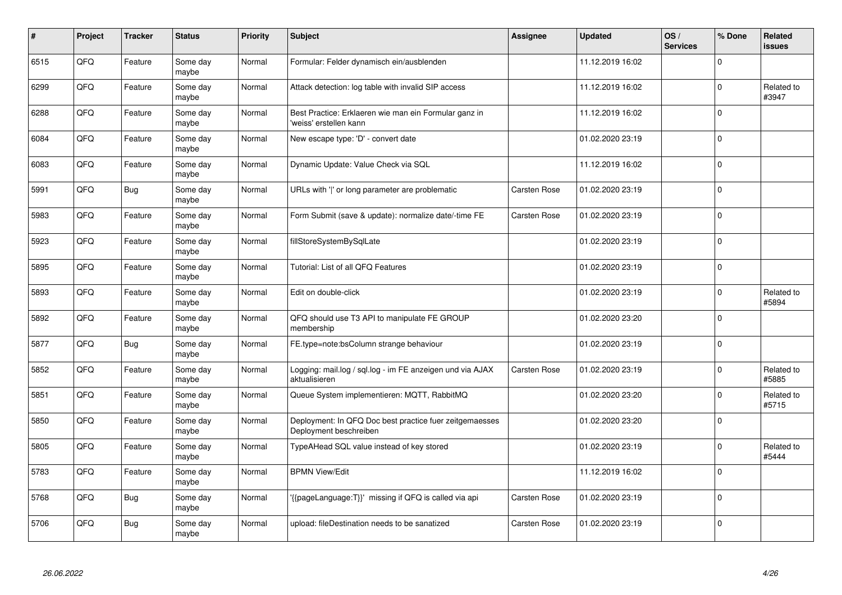| #    | Project | <b>Tracker</b> | <b>Status</b>     | Priority | <b>Subject</b>                                                                    | Assignee     | <b>Updated</b>   | OS/<br><b>Services</b> | % Done       | Related<br>issues   |
|------|---------|----------------|-------------------|----------|-----------------------------------------------------------------------------------|--------------|------------------|------------------------|--------------|---------------------|
| 6515 | QFQ     | Feature        | Some day<br>maybe | Normal   | Formular: Felder dynamisch ein/ausblenden                                         |              | 11.12.2019 16:02 |                        | $\Omega$     |                     |
| 6299 | QFQ     | Feature        | Some day<br>maybe | Normal   | Attack detection: log table with invalid SIP access                               |              | 11.12.2019 16:02 |                        | $\Omega$     | Related to<br>#3947 |
| 6288 | QFQ     | Feature        | Some day<br>maybe | Normal   | Best Practice: Erklaeren wie man ein Formular ganz in<br>'weiss' erstellen kann   |              | 11.12.2019 16:02 |                        | 0            |                     |
| 6084 | QFQ     | Feature        | Some day<br>maybe | Normal   | New escape type: 'D' - convert date                                               |              | 01.02.2020 23:19 |                        | $\Omega$     |                     |
| 6083 | QFQ     | Feature        | Some day<br>maybe | Normal   | Dynamic Update: Value Check via SQL                                               |              | 11.12.2019 16:02 |                        | $\Omega$     |                     |
| 5991 | QFQ     | <b>Bug</b>     | Some day<br>maybe | Normal   | URLs with ' ' or long parameter are problematic                                   | Carsten Rose | 01.02.2020 23:19 |                        | $\mathbf 0$  |                     |
| 5983 | QFQ     | Feature        | Some day<br>maybe | Normal   | Form Submit (save & update): normalize date/-time FE                              | Carsten Rose | 01.02.2020 23:19 |                        | $\Omega$     |                     |
| 5923 | QFQ     | Feature        | Some day<br>maybe | Normal   | fillStoreSystemBySqlLate                                                          |              | 01.02.2020 23:19 |                        | $\Omega$     |                     |
| 5895 | QFQ     | Feature        | Some day<br>maybe | Normal   | Tutorial: List of all QFQ Features                                                |              | 01.02.2020 23:19 |                        | $\Omega$     |                     |
| 5893 | QFQ     | Feature        | Some day<br>maybe | Normal   | Edit on double-click                                                              |              | 01.02.2020 23:19 |                        | 0            | Related to<br>#5894 |
| 5892 | QFQ     | Feature        | Some day<br>maybe | Normal   | QFQ should use T3 API to manipulate FE GROUP<br>membership                        |              | 01.02.2020 23:20 |                        | $\Omega$     |                     |
| 5877 | QFQ     | <b>Bug</b>     | Some day<br>maybe | Normal   | FE.type=note:bsColumn strange behaviour                                           |              | 01.02.2020 23:19 |                        | $\Omega$     |                     |
| 5852 | QFQ     | Feature        | Some day<br>maybe | Normal   | Logging: mail.log / sql.log - im FE anzeigen und via AJAX<br>aktualisieren        | Carsten Rose | 01.02.2020 23:19 |                        | <sup>0</sup> | Related to<br>#5885 |
| 5851 | QFQ     | Feature        | Some day<br>maybe | Normal   | Queue System implementieren: MQTT, RabbitMQ                                       |              | 01.02.2020 23:20 |                        | $\Omega$     | Related to<br>#5715 |
| 5850 | QFQ     | Feature        | Some day<br>maybe | Normal   | Deployment: In QFQ Doc best practice fuer zeitgemaesses<br>Deployment beschreiben |              | 01.02.2020 23:20 |                        | $\Omega$     |                     |
| 5805 | QFQ     | Feature        | Some day<br>maybe | Normal   | TypeAHead SQL value instead of key stored                                         |              | 01.02.2020 23:19 |                        | $\Omega$     | Related to<br>#5444 |
| 5783 | QFQ     | Feature        | Some day<br>maybe | Normal   | <b>BPMN View/Edit</b>                                                             |              | 11.12.2019 16:02 |                        | $\Omega$     |                     |
| 5768 | QFQ     | <b>Bug</b>     | Some day<br>maybe | Normal   | '{{pageLanguage:T}}' missing if QFQ is called via api                             | Carsten Rose | 01.02.2020 23:19 |                        | $\Omega$     |                     |
| 5706 | QFQ     | <b>Bug</b>     | Some day<br>maybe | Normal   | upload: fileDestination needs to be sanatized                                     | Carsten Rose | 01.02.2020 23:19 |                        | $\Omega$     |                     |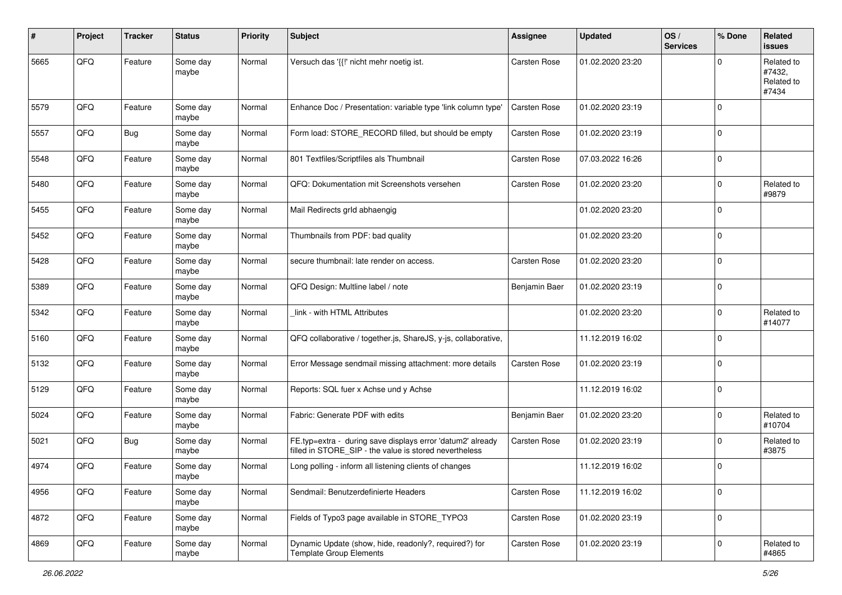| #    | Project | <b>Tracker</b> | <b>Status</b>     | <b>Priority</b> | <b>Subject</b>                                                                                                       | <b>Assignee</b>     | <b>Updated</b>   | OS/<br><b>Services</b> | % Done         | Related<br><b>issues</b>                    |
|------|---------|----------------|-------------------|-----------------|----------------------------------------------------------------------------------------------------------------------|---------------------|------------------|------------------------|----------------|---------------------------------------------|
| 5665 | QFQ     | Feature        | Some day<br>maybe | Normal          | Versuch das '{{!' nicht mehr noetig ist.                                                                             | Carsten Rose        | 01.02.2020 23:20 |                        | $\mathbf 0$    | Related to<br>#7432,<br>Related to<br>#7434 |
| 5579 | QFQ     | Feature        | Some day<br>maybe | Normal          | Enhance Doc / Presentation: variable type 'link column type'                                                         | Carsten Rose        | 01.02.2020 23:19 |                        | $\mathbf 0$    |                                             |
| 5557 | QFQ     | <b>Bug</b>     | Some day<br>maybe | Normal          | Form load: STORE_RECORD filled, but should be empty                                                                  | Carsten Rose        | 01.02.2020 23:19 |                        | $\overline{0}$ |                                             |
| 5548 | QFQ     | Feature        | Some day<br>maybe | Normal          | 801 Textfiles/Scriptfiles als Thumbnail                                                                              | <b>Carsten Rose</b> | 07.03.2022 16:26 |                        | $\overline{0}$ |                                             |
| 5480 | QFQ     | Feature        | Some day<br>maybe | Normal          | QFQ: Dokumentation mit Screenshots versehen                                                                          | Carsten Rose        | 01.02.2020 23:20 |                        | 0              | Related to<br>#9879                         |
| 5455 | QFQ     | Feature        | Some day<br>maybe | Normal          | Mail Redirects grld abhaengig                                                                                        |                     | 01.02.2020 23:20 |                        | $\overline{0}$ |                                             |
| 5452 | QFQ     | Feature        | Some day<br>maybe | Normal          | Thumbnails from PDF: bad quality                                                                                     |                     | 01.02.2020 23:20 |                        | 0              |                                             |
| 5428 | QFQ     | Feature        | Some day<br>maybe | Normal          | secure thumbnail: late render on access.                                                                             | Carsten Rose        | 01.02.2020 23:20 |                        | 0              |                                             |
| 5389 | QFQ     | Feature        | Some day<br>maybe | Normal          | QFQ Design: Multline label / note                                                                                    | Benjamin Baer       | 01.02.2020 23:19 |                        | $\mathbf 0$    |                                             |
| 5342 | QFQ     | Feature        | Some day<br>maybe | Normal          | link - with HTML Attributes                                                                                          |                     | 01.02.2020 23:20 |                        | $\mathbf 0$    | Related to<br>#14077                        |
| 5160 | QFQ     | Feature        | Some day<br>maybe | Normal          | QFQ collaborative / together.js, ShareJS, y-js, collaborative,                                                       |                     | 11.12.2019 16:02 |                        | 0              |                                             |
| 5132 | QFQ     | Feature        | Some day<br>maybe | Normal          | Error Message sendmail missing attachment: more details                                                              | <b>Carsten Rose</b> | 01.02.2020 23:19 |                        | 0              |                                             |
| 5129 | QFQ     | Feature        | Some day<br>maybe | Normal          | Reports: SQL fuer x Achse und y Achse                                                                                |                     | 11.12.2019 16:02 |                        | $\overline{0}$ |                                             |
| 5024 | QFQ     | Feature        | Some day<br>maybe | Normal          | Fabric: Generate PDF with edits                                                                                      | Benjamin Baer       | 01.02.2020 23:20 |                        | $\mathbf 0$    | Related to<br>#10704                        |
| 5021 | QFQ     | <b>Bug</b>     | Some day<br>maybe | Normal          | FE.typ=extra - during save displays error 'datum2' already<br>filled in STORE_SIP - the value is stored nevertheless | Carsten Rose        | 01.02.2020 23:19 |                        | $\overline{0}$ | Related to<br>#3875                         |
| 4974 | QFQ     | Feature        | Some day<br>maybe | Normal          | Long polling - inform all listening clients of changes                                                               |                     | 11.12.2019 16:02 |                        | 0              |                                             |
| 4956 | QFQ     | Feature        | Some day<br>maybe | Normal          | Sendmail: Benutzerdefinierte Headers                                                                                 | Carsten Rose        | 11.12.2019 16:02 |                        | $\overline{0}$ |                                             |
| 4872 | QFQ     | Feature        | Some day<br>maybe | Normal          | Fields of Typo3 page available in STORE_TYPO3                                                                        | Carsten Rose        | 01.02.2020 23:19 |                        | $\overline{0}$ |                                             |
| 4869 | QFQ     | Feature        | Some day<br>maybe | Normal          | Dynamic Update (show, hide, readonly?, required?) for<br><b>Template Group Elements</b>                              | Carsten Rose        | 01.02.2020 23:19 |                        | $\mathbf 0$    | Related to<br>#4865                         |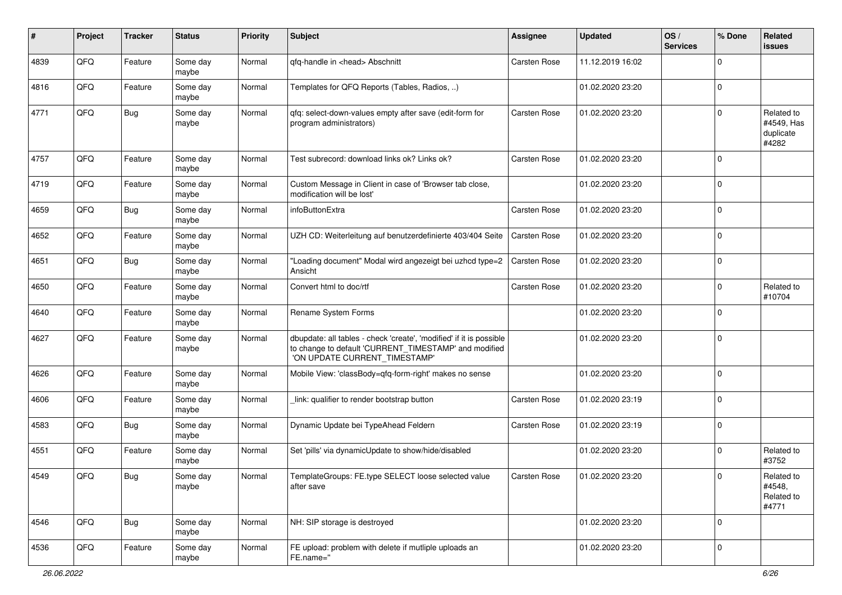| #    | Project        | <b>Tracker</b> | <b>Status</b>     | <b>Priority</b> | Subject                                                                                                                                                       | <b>Assignee</b>     | <b>Updated</b>   | OS/<br><b>Services</b> | % Done              | Related<br><b>issues</b>                       |
|------|----------------|----------------|-------------------|-----------------|---------------------------------------------------------------------------------------------------------------------------------------------------------------|---------------------|------------------|------------------------|---------------------|------------------------------------------------|
| 4839 | QFQ            | Feature        | Some day<br>maybe | Normal          | qfq-handle in <head> Abschnitt</head>                                                                                                                         | <b>Carsten Rose</b> | 11.12.2019 16:02 |                        | $\Omega$            |                                                |
| 4816 | QFQ            | Feature        | Some day<br>maybe | Normal          | Templates for QFQ Reports (Tables, Radios, )                                                                                                                  |                     | 01.02.2020 23:20 |                        | l 0                 |                                                |
| 4771 | QFQ            | <b>Bug</b>     | Some day<br>maybe | Normal          | qfq: select-down-values empty after save (edit-form for<br>program administrators)                                                                            | <b>Carsten Rose</b> | 01.02.2020 23:20 |                        | $\Omega$            | Related to<br>#4549, Has<br>duplicate<br>#4282 |
| 4757 | QFQ            | Feature        | Some day<br>maybe | Normal          | Test subrecord: download links ok? Links ok?                                                                                                                  | <b>Carsten Rose</b> | 01.02.2020 23:20 |                        | $\Omega$            |                                                |
| 4719 | QFQ            | Feature        | Some day<br>maybe | Normal          | Custom Message in Client in case of 'Browser tab close,<br>modification will be lost'                                                                         |                     | 01.02.2020 23:20 |                        | $\Omega$            |                                                |
| 4659 | QFQ            | <b>Bug</b>     | Some day<br>maybe | Normal          | infoButtonExtra                                                                                                                                               | <b>Carsten Rose</b> | 01.02.2020 23:20 |                        | $\Omega$            |                                                |
| 4652 | QFQ            | Feature        | Some day<br>maybe | Normal          | UZH CD: Weiterleitung auf benutzerdefinierte 403/404 Seite                                                                                                    | <b>Carsten Rose</b> | 01.02.2020 23:20 |                        | $\mathbf{0}$        |                                                |
| 4651 | QFQ            | <b>Bug</b>     | Some day<br>maybe | Normal          | "Loading document" Modal wird angezeigt bei uzhcd type=2<br>Ansicht                                                                                           | <b>Carsten Rose</b> | 01.02.2020 23:20 |                        | $\mathbf{0}$        |                                                |
| 4650 | QFQ            | Feature        | Some day<br>maybe | Normal          | Convert html to doc/rtf                                                                                                                                       | <b>Carsten Rose</b> | 01.02.2020 23:20 |                        | $\Omega$            | Related to<br>#10704                           |
| 4640 | QFQ            | Feature        | Some day<br>maybe | Normal          | Rename System Forms                                                                                                                                           |                     | 01.02.2020 23:20 |                        | $\mathbf{0}$        |                                                |
| 4627 | QFQ            | Feature        | Some day<br>maybe | Normal          | dbupdate: all tables - check 'create', 'modified' if it is possible<br>to change to default 'CURRENT_TIMESTAMP' and modified<br>'ON UPDATE CURRENT_TIMESTAMP' |                     | 01.02.2020 23:20 |                        | l 0                 |                                                |
| 4626 | QFQ            | Feature        | Some day<br>maybe | Normal          | Mobile View: 'classBody=qfq-form-right' makes no sense                                                                                                        |                     | 01.02.2020 23:20 |                        | l 0                 |                                                |
| 4606 | QFQ            | Feature        | Some day<br>maybe | Normal          | link: qualifier to render bootstrap button                                                                                                                    | <b>Carsten Rose</b> | 01.02.2020 23:19 |                        | $\mathbf 0$         |                                                |
| 4583 | QFQ            | <b>Bug</b>     | Some day<br>maybe | Normal          | Dynamic Update bei TypeAhead Feldern                                                                                                                          | <b>Carsten Rose</b> | 01.02.2020 23:19 |                        | $\mathbf{0}$        |                                                |
| 4551 | QFQ            | Feature        | Some day<br>maybe | Normal          | Set 'pills' via dynamicUpdate to show/hide/disabled                                                                                                           |                     | 01.02.2020 23:20 |                        | $\mathbf 0$         | Related to<br>#3752                            |
| 4549 | $\mathsf{QFQ}$ | <b>Bug</b>     | Some day<br>maybe | Normal          | TemplateGroups: FE.type SELECT loose selected value<br>after save                                                                                             | Carsten Rose        | 01.02.2020 23:20 |                        | $\mathsf{O}\xspace$ | Related to<br>#4548,<br>Related to<br>#4771    |
| 4546 | QFQ            | <b>Bug</b>     | Some day<br>maybe | Normal          | NH: SIP storage is destroyed                                                                                                                                  |                     | 01.02.2020 23:20 |                        | 0 I                 |                                                |
| 4536 | QFG            | Feature        | Some day<br>maybe | Normal          | FE upload: problem with delete if mutliple uploads an<br>FE.name="                                                                                            |                     | 01.02.2020 23:20 |                        | l 0                 |                                                |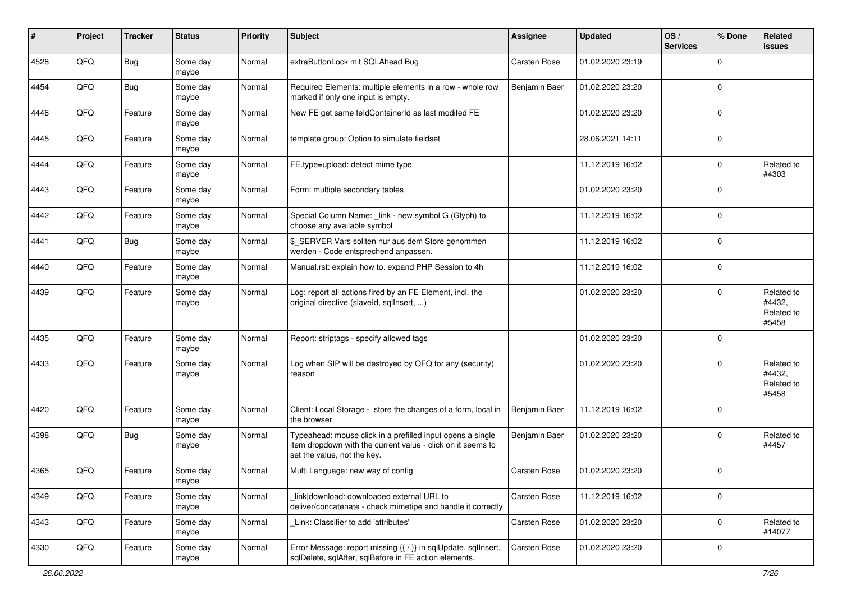| #    | Project | <b>Tracker</b> | <b>Status</b>     | <b>Priority</b> | <b>Subject</b>                                                                                                                                           | <b>Assignee</b>     | <b>Updated</b>   | OS/<br><b>Services</b> | % Done         | Related<br><b>issues</b>                    |
|------|---------|----------------|-------------------|-----------------|----------------------------------------------------------------------------------------------------------------------------------------------------------|---------------------|------------------|------------------------|----------------|---------------------------------------------|
| 4528 | QFQ     | <b>Bug</b>     | Some day<br>maybe | Normal          | extraButtonLock mit SQLAhead Bug                                                                                                                         | Carsten Rose        | 01.02.2020 23:19 |                        | $\Omega$       |                                             |
| 4454 | QFQ     | <b>Bug</b>     | Some day<br>maybe | Normal          | Required Elements: multiple elements in a row - whole row<br>marked if only one input is empty.                                                          | Benjamin Baer       | 01.02.2020 23:20 |                        | $\mathbf 0$    |                                             |
| 4446 | QFQ     | Feature        | Some day<br>maybe | Normal          | New FE get same feldContainerId as last modifed FE                                                                                                       |                     | 01.02.2020 23:20 |                        | $\Omega$       |                                             |
| 4445 | QFQ     | Feature        | Some day<br>maybe | Normal          | template group: Option to simulate fieldset                                                                                                              |                     | 28.06.2021 14:11 |                        | $\mathbf 0$    |                                             |
| 4444 | QFQ     | Feature        | Some day<br>maybe | Normal          | FE.type=upload: detect mime type                                                                                                                         |                     | 11.12.2019 16:02 |                        | $\mathbf 0$    | Related to<br>#4303                         |
| 4443 | QFQ     | Feature        | Some day<br>maybe | Normal          | Form: multiple secondary tables                                                                                                                          |                     | 01.02.2020 23:20 |                        | $\mathbf 0$    |                                             |
| 4442 | QFQ     | Feature        | Some day<br>maybe | Normal          | Special Column Name: _link - new symbol G (Glyph) to<br>choose any available symbol                                                                      |                     | 11.12.2019 16:02 |                        | $\mathbf 0$    |                                             |
| 4441 | QFQ     | <b>Bug</b>     | Some day<br>maybe | Normal          | \$_SERVER Vars sollten nur aus dem Store genommen<br>werden - Code entsprechend anpassen.                                                                |                     | 11.12.2019 16:02 |                        | $\mathbf 0$    |                                             |
| 4440 | QFQ     | Feature        | Some day<br>maybe | Normal          | Manual.rst: explain how to. expand PHP Session to 4h                                                                                                     |                     | 11.12.2019 16:02 |                        | $\mathbf 0$    |                                             |
| 4439 | QFQ     | Feature        | Some day<br>maybe | Normal          | Log: report all actions fired by an FE Element, incl. the<br>original directive (slaveld, sqllnsert, )                                                   |                     | 01.02.2020 23:20 |                        | $\Omega$       | Related to<br>#4432,<br>Related to<br>#5458 |
| 4435 | QFQ     | Feature        | Some day<br>maybe | Normal          | Report: striptags - specify allowed tags                                                                                                                 |                     | 01.02.2020 23:20 |                        | 0              |                                             |
| 4433 | QFQ     | Feature        | Some day<br>maybe | Normal          | Log when SIP will be destroyed by QFQ for any (security)<br>reason                                                                                       |                     | 01.02.2020 23:20 |                        | $\mathbf 0$    | Related to<br>#4432.<br>Related to<br>#5458 |
| 4420 | QFQ     | Feature        | Some day<br>maybe | Normal          | Client: Local Storage - store the changes of a form, local in<br>the browser.                                                                            | Benjamin Baer       | 11.12.2019 16:02 |                        | 0              |                                             |
| 4398 | QFQ     | <b>Bug</b>     | Some day<br>maybe | Normal          | Typeahead: mouse click in a prefilled input opens a single<br>item dropdown with the current value - click on it seems to<br>set the value, not the key. | Benjamin Baer       | 01.02.2020 23:20 |                        | $\mathbf 0$    | Related to<br>#4457                         |
| 4365 | QFQ     | Feature        | Some day<br>maybe | Normal          | Multi Language: new way of config                                                                                                                        | <b>Carsten Rose</b> | 01.02.2020 23:20 |                        | 0              |                                             |
| 4349 | QFO     | Feature        | Some day<br>maybe | Normal          | link download: downloaded external URL to<br>deliver/concatenate - check mimetipe and handle it correctly                                                | Carsten Rose        | 11.12.2019 16:02 |                        | $\mathbf 0$    |                                             |
| 4343 | QFQ     | Feature        | Some day<br>maybe | Normal          | Link: Classifier to add 'attributes'                                                                                                                     | Carsten Rose        | 01.02.2020 23:20 |                        | $\mathbf 0$    | Related to<br>#14077                        |
| 4330 | QFO     | Feature        | Some day<br>maybe | Normal          | Error Message: report missing {{ / }} in sqlUpdate, sqlInsert,<br>sqlDelete, sqlAfter, sqlBefore in FE action elements.                                  | Carsten Rose        | 01.02.2020 23:20 |                        | $\overline{0}$ |                                             |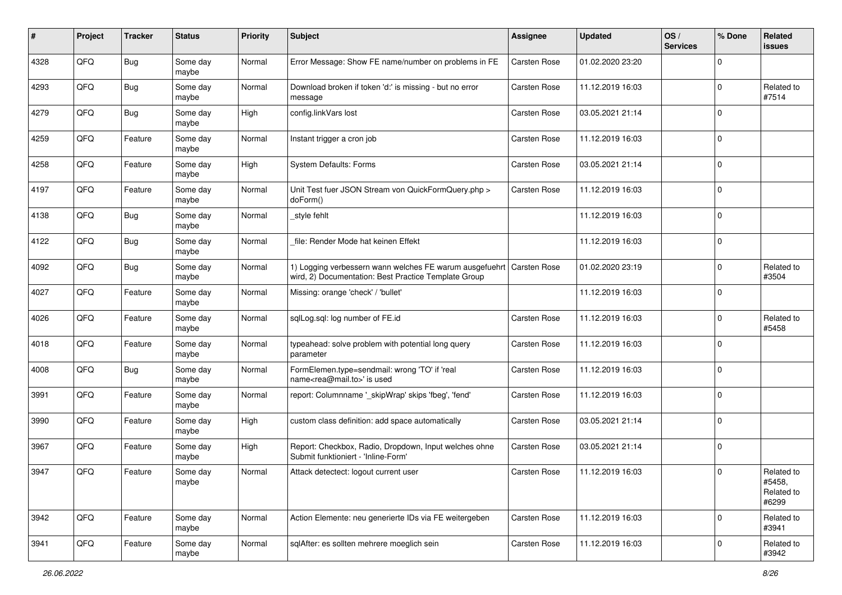| ∦    | Project | <b>Tracker</b> | <b>Status</b>     | <b>Priority</b> | <b>Subject</b>                                                                                                                 | <b>Assignee</b>     | <b>Updated</b>   | OS/<br><b>Services</b> | % Done       | Related<br>issues                           |
|------|---------|----------------|-------------------|-----------------|--------------------------------------------------------------------------------------------------------------------------------|---------------------|------------------|------------------------|--------------|---------------------------------------------|
| 4328 | QFQ     | Bug            | Some day<br>maybe | Normal          | Error Message: Show FE name/number on problems in FE                                                                           | <b>Carsten Rose</b> | 01.02.2020 23:20 |                        | <sup>0</sup> |                                             |
| 4293 | QFQ     | <b>Bug</b>     | Some day<br>maybe | Normal          | Download broken if token 'd:' is missing - but no error<br>message                                                             | <b>Carsten Rose</b> | 11.12.2019 16:03 |                        | $\Omega$     | Related to<br>#7514                         |
| 4279 | QFQ     | <b>Bug</b>     | Some day<br>maybe | High            | config.linkVars lost                                                                                                           | Carsten Rose        | 03.05.2021 21:14 |                        | 0            |                                             |
| 4259 | QFQ     | Feature        | Some day<br>maybe | Normal          | Instant trigger a cron job                                                                                                     | Carsten Rose        | 11.12.2019 16:03 |                        | 0            |                                             |
| 4258 | QFQ     | Feature        | Some day<br>maybe | High            | System Defaults: Forms                                                                                                         | <b>Carsten Rose</b> | 03.05.2021 21:14 |                        | $\Omega$     |                                             |
| 4197 | QFQ     | Feature        | Some day<br>maybe | Normal          | Unit Test fuer JSON Stream von QuickFormQuery.php ><br>doForm()                                                                | <b>Carsten Rose</b> | 11.12.2019 16:03 |                        | $\Omega$     |                                             |
| 4138 | QFQ     | <b>Bug</b>     | Some day<br>maybe | Normal          | _style fehlt                                                                                                                   |                     | 11.12.2019 16:03 |                        | $\Omega$     |                                             |
| 4122 | QFQ     | <b>Bug</b>     | Some day<br>maybe | Normal          | file: Render Mode hat keinen Effekt                                                                                            |                     | 11.12.2019 16:03 |                        | $\mathbf 0$  |                                             |
| 4092 | QFQ     | <b>Bug</b>     | Some day<br>maybe | Normal          | 1) Logging verbessern wann welches FE warum ausgefuehrt   Carsten Rose<br>wird, 2) Documentation: Best Practice Template Group |                     | 01.02.2020 23:19 |                        | $\Omega$     | Related to<br>#3504                         |
| 4027 | QFQ     | Feature        | Some day<br>maybe | Normal          | Missing: orange 'check' / 'bullet'                                                                                             |                     | 11.12.2019 16:03 |                        | 0            |                                             |
| 4026 | QFQ     | Feature        | Some day<br>maybe | Normal          | sqlLog.sql: log number of FE.id                                                                                                | Carsten Rose        | 11.12.2019 16:03 |                        | 0            | Related to<br>#5458                         |
| 4018 | QFQ     | Feature        | Some day<br>maybe | Normal          | typeahead: solve problem with potential long query<br>parameter                                                                | <b>Carsten Rose</b> | 11.12.2019 16:03 |                        | $\Omega$     |                                             |
| 4008 | QFQ     | <b>Bug</b>     | Some day<br>maybe | Normal          | FormElemen.type=sendmail: wrong 'TO' if 'real<br>name <rea@mail.to>' is used</rea@mail.to>                                     | <b>Carsten Rose</b> | 11.12.2019 16:03 |                        | $\Omega$     |                                             |
| 3991 | QFQ     | Feature        | Some day<br>maybe | Normal          | report: Columnname '_skipWrap' skips 'fbeg', 'fend'                                                                            | Carsten Rose        | 11.12.2019 16:03 |                        | $\Omega$     |                                             |
| 3990 | QFQ     | Feature        | Some day<br>maybe | High            | custom class definition: add space automatically                                                                               | <b>Carsten Rose</b> | 03.05.2021 21:14 |                        | 0            |                                             |
| 3967 | QFQ     | Feature        | Some day<br>maybe | High            | Report: Checkbox, Radio, Dropdown, Input welches ohne<br>Submit funktioniert - 'Inline-Form'                                   | <b>Carsten Rose</b> | 03.05.2021 21:14 |                        | $\mathbf 0$  |                                             |
| 3947 | QFQ     | Feature        | Some day<br>maybe | Normal          | Attack detectect: logout current user                                                                                          | <b>Carsten Rose</b> | 11.12.2019 16:03 |                        | $\Omega$     | Related to<br>#5458,<br>Related to<br>#6299 |
| 3942 | QFQ     | Feature        | Some day<br>maybe | Normal          | Action Elemente: neu generierte IDs via FE weitergeben                                                                         | Carsten Rose        | 11.12.2019 16:03 |                        | $\Omega$     | Related to<br>#3941                         |
| 3941 | QFQ     | Feature        | Some day<br>maybe | Normal          | sqlAfter: es sollten mehrere moeglich sein                                                                                     | Carsten Rose        | 11.12.2019 16:03 |                        | $\Omega$     | Related to<br>#3942                         |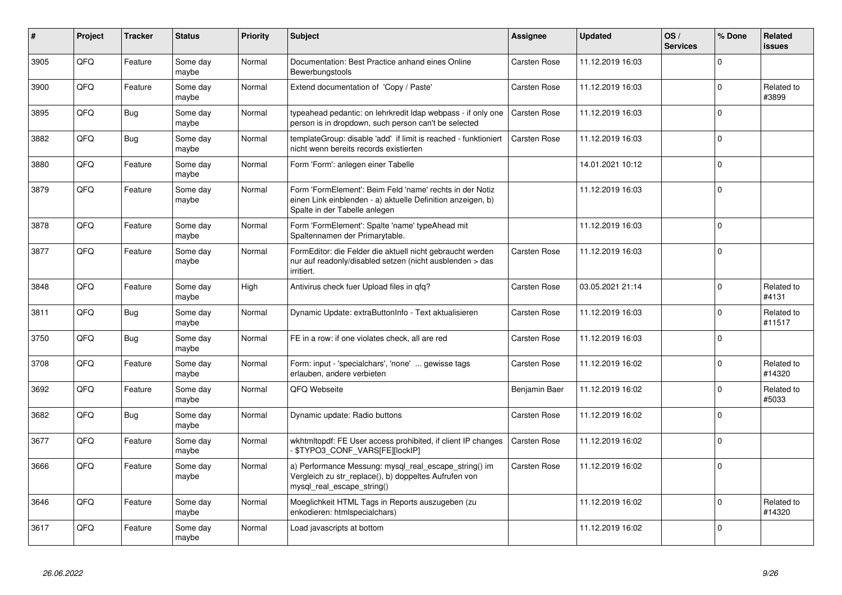| #    | Project | <b>Tracker</b> | <b>Status</b>     | <b>Priority</b> | <b>Subject</b>                                                                                                                                           | Assignee            | <b>Updated</b>   | OS/<br><b>Services</b> | % Done   | <b>Related</b><br><b>issues</b> |
|------|---------|----------------|-------------------|-----------------|----------------------------------------------------------------------------------------------------------------------------------------------------------|---------------------|------------------|------------------------|----------|---------------------------------|
| 3905 | QFQ     | Feature        | Some day<br>maybe | Normal          | Documentation: Best Practice anhand eines Online<br>Bewerbungstools                                                                                      | Carsten Rose        | 11.12.2019 16:03 |                        | $\Omega$ |                                 |
| 3900 | QFQ     | Feature        | Some day<br>maybe | Normal          | Extend documentation of 'Copy / Paste'                                                                                                                   | Carsten Rose        | 11.12.2019 16:03 |                        | $\Omega$ | Related to<br>#3899             |
| 3895 | QFQ     | <b>Bug</b>     | Some day<br>maybe | Normal          | typeahead pedantic: on lehrkredit Idap webpass - if only one<br>person is in dropdown, such person can't be selected                                     | <b>Carsten Rose</b> | 11.12.2019 16:03 |                        | $\Omega$ |                                 |
| 3882 | QFQ     | <b>Bug</b>     | Some day<br>maybe | Normal          | templateGroup: disable 'add' if limit is reached - funktioniert<br>nicht wenn bereits records existierten                                                | Carsten Rose        | 11.12.2019 16:03 |                        | $\Omega$ |                                 |
| 3880 | QFQ     | Feature        | Some day<br>maybe | Normal          | Form 'Form': anlegen einer Tabelle                                                                                                                       |                     | 14.01.2021 10:12 |                        | $\Omega$ |                                 |
| 3879 | QFQ     | Feature        | Some day<br>maybe | Normal          | Form 'FormElement': Beim Feld 'name' rechts in der Notiz<br>einen Link einblenden - a) aktuelle Definition anzeigen, b)<br>Spalte in der Tabelle anlegen |                     | 11.12.2019 16:03 |                        | $\Omega$ |                                 |
| 3878 | QFQ     | Feature        | Some day<br>maybe | Normal          | Form 'FormElement': Spalte 'name' typeAhead mit<br>Spaltennamen der Primarytable.                                                                        |                     | 11.12.2019 16:03 |                        | $\Omega$ |                                 |
| 3877 | QFQ     | Feature        | Some day<br>maybe | Normal          | FormEditor: die Felder die aktuell nicht gebraucht werden<br>nur auf readonly/disabled setzen (nicht ausblenden > das<br>irritiert.                      | Carsten Rose        | 11.12.2019 16:03 |                        | $\Omega$ |                                 |
| 3848 | QFQ     | Feature        | Some day<br>maybe | High            | Antivirus check fuer Upload files in qfq?                                                                                                                | Carsten Rose        | 03.05.2021 21:14 |                        | $\Omega$ | Related to<br>#4131             |
| 3811 | QFQ     | Bug            | Some dav<br>maybe | Normal          | Dynamic Update: extraButtonInfo - Text aktualisieren                                                                                                     | Carsten Rose        | 11.12.2019 16:03 |                        | $\Omega$ | Related to<br>#11517            |
| 3750 | QFQ     | <b>Bug</b>     | Some day<br>maybe | Normal          | FE in a row: if one violates check, all are red                                                                                                          | Carsten Rose        | 11.12.2019 16:03 |                        | $\Omega$ |                                 |
| 3708 | QFQ     | Feature        | Some day<br>maybe | Normal          | Form: input - 'specialchars', 'none'  gewisse tags<br>erlauben, andere verbieten                                                                         | Carsten Rose        | 11.12.2019 16:02 |                        | 0        | Related to<br>#14320            |
| 3692 | QFQ     | Feature        | Some day<br>maybe | Normal          | QFQ Webseite                                                                                                                                             | Benjamin Baer       | 11.12.2019 16:02 |                        | $\Omega$ | Related to<br>#5033             |
| 3682 | QFQ     | <b>Bug</b>     | Some day<br>maybe | Normal          | Dynamic update: Radio buttons                                                                                                                            | Carsten Rose        | 11.12.2019 16:02 |                        | $\Omega$ |                                 |
| 3677 | QFQ     | Feature        | Some day<br>maybe | Normal          | wkhtmltopdf: FE User access prohibited, if client IP changes<br>- \$TYPO3_CONF_VARS[FE][lockIP]                                                          | <b>Carsten Rose</b> | 11.12.2019 16:02 |                        | $\Omega$ |                                 |
| 3666 | QFQ     | Feature        | Some day<br>maybe | Normal          | a) Performance Messung: mysql_real_escape_string() im<br>Vergleich zu str_replace(), b) doppeltes Aufrufen von<br>mysql_real_escape_string()             | <b>Carsten Rose</b> | 11.12.2019 16:02 |                        | $\Omega$ |                                 |
| 3646 | QFQ     | Feature        | Some day<br>maybe | Normal          | Moeglichkeit HTML Tags in Reports auszugeben (zu<br>enkodieren: htmlspecialchars)                                                                        |                     | 11.12.2019 16:02 |                        | $\Omega$ | Related to<br>#14320            |
| 3617 | QFQ     | Feature        | Some day<br>maybe | Normal          | Load javascripts at bottom                                                                                                                               |                     | 11.12.2019 16:02 |                        | $\Omega$ |                                 |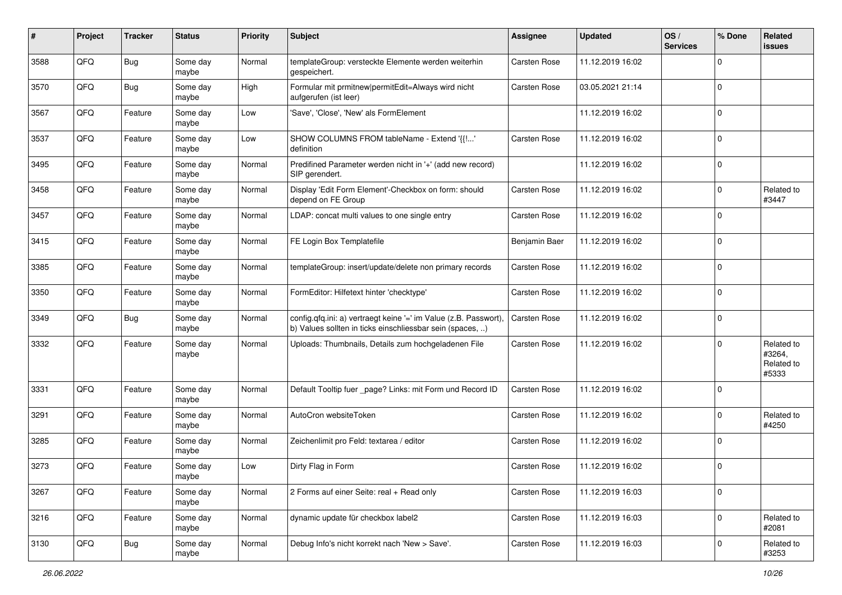| #    | Project | <b>Tracker</b> | <b>Status</b>     | <b>Priority</b> | Subject                                                                                                                       | Assignee            | <b>Updated</b>   | OS/<br><b>Services</b> | % Done      | Related<br><b>issues</b>                    |
|------|---------|----------------|-------------------|-----------------|-------------------------------------------------------------------------------------------------------------------------------|---------------------|------------------|------------------------|-------------|---------------------------------------------|
| 3588 | QFQ     | <b>Bug</b>     | Some day<br>maybe | Normal          | templateGroup: versteckte Elemente werden weiterhin<br>gespeichert.                                                           | Carsten Rose        | 11.12.2019 16:02 |                        | 0           |                                             |
| 3570 | QFQ     | <b>Bug</b>     | Some day<br>maybe | High            | Formular mit prmitnew permitEdit=Always wird nicht<br>aufgerufen (ist leer)                                                   | <b>Carsten Rose</b> | 03.05.2021 21:14 |                        | $\mathbf 0$ |                                             |
| 3567 | QFQ     | Feature        | Some day<br>maybe | Low             | 'Save', 'Close', 'New' als FormElement                                                                                        |                     | 11.12.2019 16:02 |                        | 0           |                                             |
| 3537 | QFQ     | Feature        | Some day<br>maybe | Low             | SHOW COLUMNS FROM tableName - Extend '{{!'<br>definition                                                                      | <b>Carsten Rose</b> | 11.12.2019 16:02 |                        | $\mathbf 0$ |                                             |
| 3495 | QFQ     | Feature        | Some day<br>maybe | Normal          | Predifined Parameter werden nicht in '+' (add new record)<br>SIP gerendert.                                                   |                     | 11.12.2019 16:02 |                        | $\mathbf 0$ |                                             |
| 3458 | QFQ     | Feature        | Some day<br>maybe | Normal          | Display 'Edit Form Element'-Checkbox on form: should<br>depend on FE Group                                                    | Carsten Rose        | 11.12.2019 16:02 |                        | $\Omega$    | Related to<br>#3447                         |
| 3457 | QFQ     | Feature        | Some day<br>maybe | Normal          | LDAP: concat multi values to one single entry                                                                                 | Carsten Rose        | 11.12.2019 16:02 |                        | 0           |                                             |
| 3415 | QFQ     | Feature        | Some day<br>maybe | Normal          | FE Login Box Templatefile                                                                                                     | Benjamin Baer       | 11.12.2019 16:02 |                        | $\Omega$    |                                             |
| 3385 | QFQ     | Feature        | Some day<br>maybe | Normal          | templateGroup: insert/update/delete non primary records                                                                       | <b>Carsten Rose</b> | 11.12.2019 16:02 |                        | 0           |                                             |
| 3350 | QFQ     | Feature        | Some day<br>maybe | Normal          | FormEditor: Hilfetext hinter 'checktype'                                                                                      | Carsten Rose        | 11.12.2019 16:02 |                        | $\Omega$    |                                             |
| 3349 | QFQ     | <b>Bug</b>     | Some day<br>maybe | Normal          | config.qfq.ini: a) vertraegt keine '=' im Value (z.B. Passwort),<br>b) Values sollten in ticks einschliessbar sein (spaces, ) | <b>Carsten Rose</b> | 11.12.2019 16:02 |                        | $\Omega$    |                                             |
| 3332 | QFQ     | Feature        | Some day<br>maybe | Normal          | Uploads: Thumbnails, Details zum hochgeladenen File                                                                           | Carsten Rose        | 11.12.2019 16:02 |                        | 0           | Related to<br>#3264,<br>Related to<br>#5333 |
| 3331 | QFQ     | Feature        | Some day<br>maybe | Normal          | Default Tooltip fuer _page? Links: mit Form und Record ID                                                                     | <b>Carsten Rose</b> | 11.12.2019 16:02 |                        | $\Omega$    |                                             |
| 3291 | QFQ     | Feature        | Some day<br>maybe | Normal          | AutoCron websiteToken                                                                                                         | Carsten Rose        | 11.12.2019 16:02 |                        | 0           | Related to<br>#4250                         |
| 3285 | QFQ     | Feature        | Some day<br>maybe | Normal          | Zeichenlimit pro Feld: textarea / editor                                                                                      | Carsten Rose        | 11.12.2019 16:02 |                        | $\Omega$    |                                             |
| 3273 | QFQ     | Feature        | Some day<br>maybe | Low             | Dirty Flag in Form                                                                                                            | Carsten Rose        | 11.12.2019 16:02 |                        | $\Omega$    |                                             |
| 3267 | QFQ     | Feature        | Some day<br>maybe | Normal          | 2 Forms auf einer Seite: real + Read only                                                                                     | Carsten Rose        | 11.12.2019 16:03 |                        | 0           |                                             |
| 3216 | QFQ     | Feature        | Some day<br>maybe | Normal          | dynamic update für checkbox label2                                                                                            | Carsten Rose        | 11.12.2019 16:03 |                        | 0           | Related to<br>#2081                         |
| 3130 | QFQ     | <b>Bug</b>     | Some day<br>maybe | Normal          | Debug Info's nicht korrekt nach 'New > Save'.                                                                                 | Carsten Rose        | 11.12.2019 16:03 |                        | $\mathbf 0$ | Related to<br>#3253                         |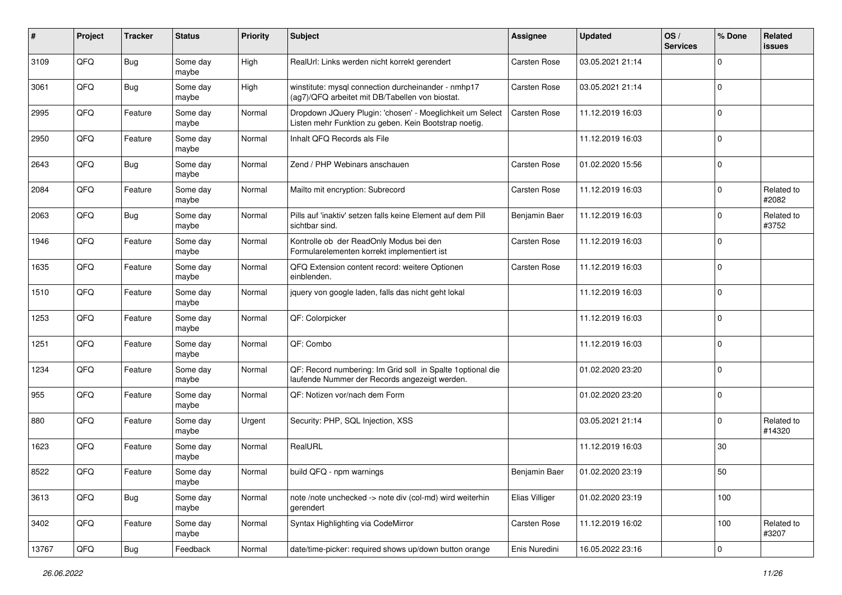| #     | Project        | <b>Tracker</b> | <b>Status</b>     | <b>Priority</b> | <b>Subject</b>                                                                                                     | Assignee            | <b>Updated</b>   | OS/<br><b>Services</b> | % Done      | Related<br>issues    |
|-------|----------------|----------------|-------------------|-----------------|--------------------------------------------------------------------------------------------------------------------|---------------------|------------------|------------------------|-------------|----------------------|
| 3109  | QFQ            | Bug            | Some day<br>maybe | High            | RealUrl: Links werden nicht korrekt gerendert                                                                      | <b>Carsten Rose</b> | 03.05.2021 21:14 |                        | $\Omega$    |                      |
| 3061  | QFQ            | Bug            | Some day<br>maybe | High            | winstitute: mysql connection durcheinander - nmhp17<br>(ag7)/QFQ arbeitet mit DB/Tabellen von biostat.             | <b>Carsten Rose</b> | 03.05.2021 21:14 |                        | $\mathbf 0$ |                      |
| 2995  | QFQ            | Feature        | Some day<br>maybe | Normal          | Dropdown JQuery Plugin: 'chosen' - Moeglichkeit um Select<br>Listen mehr Funktion zu geben. Kein Bootstrap noetig. | <b>Carsten Rose</b> | 11.12.2019 16:03 |                        | 0           |                      |
| 2950  | QFQ            | Feature        | Some day<br>maybe | Normal          | Inhalt QFQ Records als File                                                                                        |                     | 11.12.2019 16:03 |                        | $\Omega$    |                      |
| 2643  | QFQ            | <b>Bug</b>     | Some day<br>maybe | Normal          | Zend / PHP Webinars anschauen                                                                                      | Carsten Rose        | 01.02.2020 15:56 |                        | $\Omega$    |                      |
| 2084  | QFQ            | Feature        | Some day<br>maybe | Normal          | Mailto mit encryption: Subrecord                                                                                   | Carsten Rose        | 11.12.2019 16:03 |                        | $\Omega$    | Related to<br>#2082  |
| 2063  | QFQ            | <b>Bug</b>     | Some day<br>maybe | Normal          | Pills auf 'inaktiv' setzen falls keine Element auf dem Pill<br>sichtbar sind.                                      | Benjamin Baer       | 11.12.2019 16:03 |                        | 0           | Related to<br>#3752  |
| 1946  | QFQ            | Feature        | Some day<br>maybe | Normal          | Kontrolle ob der ReadOnly Modus bei den<br>Formularelementen korrekt implementiert ist                             | <b>Carsten Rose</b> | 11.12.2019 16:03 |                        | 0           |                      |
| 1635  | QFQ            | Feature        | Some day<br>maybe | Normal          | QFQ Extension content record: weitere Optionen<br>einblenden.                                                      | Carsten Rose        | 11.12.2019 16:03 |                        | $\mathbf 0$ |                      |
| 1510  | QFQ            | Feature        | Some day<br>maybe | Normal          | jquery von google laden, falls das nicht geht lokal                                                                |                     | 11.12.2019 16:03 |                        | 0           |                      |
| 1253  | QFQ            | Feature        | Some day<br>maybe | Normal          | QF: Colorpicker                                                                                                    |                     | 11.12.2019 16:03 |                        | $\mathbf 0$ |                      |
| 1251  | QFQ            | Feature        | Some day<br>maybe | Normal          | QF: Combo                                                                                                          |                     | 11.12.2019 16:03 |                        | $\Omega$    |                      |
| 1234  | QFQ            | Feature        | Some day<br>maybe | Normal          | QF: Record numbering: Im Grid soll in Spalte 1optional die<br>laufende Nummer der Records angezeigt werden.        |                     | 01.02.2020 23:20 |                        | $\Omega$    |                      |
| 955   | QFQ            | Feature        | Some day<br>maybe | Normal          | QF: Notizen vor/nach dem Form                                                                                      |                     | 01.02.2020 23:20 |                        | $\Omega$    |                      |
| 880   | QFQ            | Feature        | Some day<br>maybe | Urgent          | Security: PHP, SQL Injection, XSS                                                                                  |                     | 03.05.2021 21:14 |                        | 0           | Related to<br>#14320 |
| 1623  | QFQ            | Feature        | Some day<br>maybe | Normal          | RealURL                                                                                                            |                     | 11.12.2019 16:03 |                        | 30          |                      |
| 8522  | QFQ            | Feature        | Some day<br>maybe | Normal          | build QFQ - npm warnings                                                                                           | Benjamin Baer       | 01.02.2020 23:19 |                        | 50          |                      |
| 3613  | QFQ            | Bug            | Some day<br>maybe | Normal          | note /note unchecked -> note div (col-md) wird weiterhin<br>gerendert                                              | Elias Villiger      | 01.02.2020 23:19 |                        | 100         |                      |
| 3402  | QFQ            | Feature        | Some day<br>maybe | Normal          | Syntax Highlighting via CodeMirror                                                                                 | Carsten Rose        | 11.12.2019 16:02 |                        | 100         | Related to<br>#3207  |
| 13767 | $\mathsf{QFQ}$ | <b>Bug</b>     | Feedback          | Normal          | date/time-picker: required shows up/down button orange                                                             | Enis Nuredini       | 16.05.2022 23:16 |                        | 0           |                      |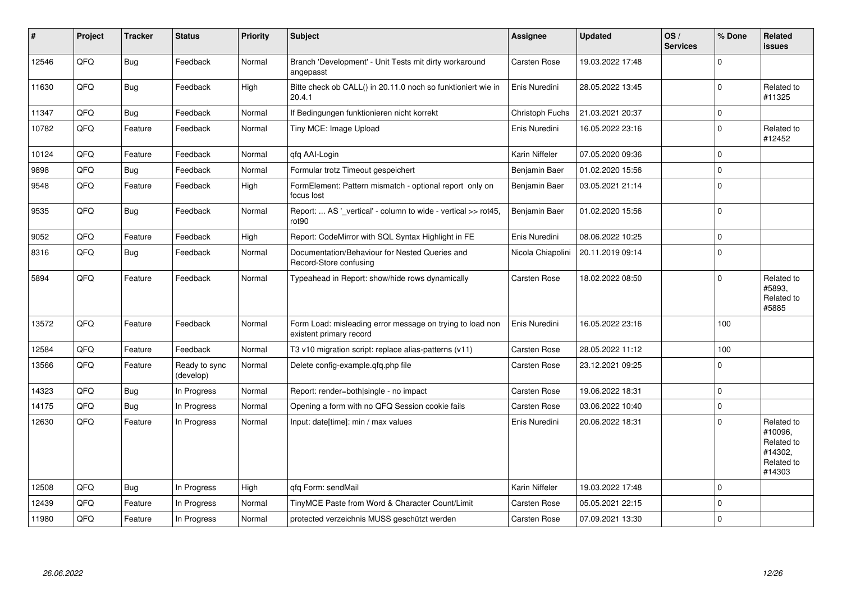| ∦     | Project | <b>Tracker</b> | <b>Status</b>              | <b>Priority</b> | <b>Subject</b>                                                                       | <b>Assignee</b>   | <b>Updated</b>   | OS/<br><b>Services</b> | % Done      | Related<br>issues                                                      |
|-------|---------|----------------|----------------------------|-----------------|--------------------------------------------------------------------------------------|-------------------|------------------|------------------------|-------------|------------------------------------------------------------------------|
| 12546 | QFQ     | <b>Bug</b>     | Feedback                   | Normal          | Branch 'Development' - Unit Tests mit dirty workaround<br>angepasst                  | Carsten Rose      | 19.03.2022 17:48 |                        | $\Omega$    |                                                                        |
| 11630 | QFQ     | <b>Bug</b>     | Feedback                   | High            | Bitte check ob CALL() in 20.11.0 noch so funktioniert wie in<br>20.4.1               | Enis Nuredini     | 28.05.2022 13:45 |                        | $\Omega$    | Related to<br>#11325                                                   |
| 11347 | QFQ     | <b>Bug</b>     | Feedback                   | Normal          | If Bedingungen funktionieren nicht korrekt                                           | Christoph Fuchs   | 21.03.2021 20:37 |                        | $\mathbf 0$ |                                                                        |
| 10782 | QFQ     | Feature        | Feedback                   | Normal          | Tiny MCE: Image Upload                                                               | Enis Nuredini     | 16.05.2022 23:16 |                        | $\Omega$    | Related to<br>#12452                                                   |
| 10124 | QFQ     | Feature        | Feedback                   | Normal          | qfq AAI-Login                                                                        | Karin Niffeler    | 07.05.2020 09:36 |                        | $\Omega$    |                                                                        |
| 9898  | QFQ     | <b>Bug</b>     | Feedback                   | Normal          | Formular trotz Timeout gespeichert                                                   | Benjamin Baer     | 01.02.2020 15:56 |                        | $\mathbf 0$ |                                                                        |
| 9548  | QFQ     | Feature        | Feedback                   | High            | FormElement: Pattern mismatch - optional report only on<br>focus lost                | Benjamin Baer     | 03.05.2021 21:14 |                        | $\Omega$    |                                                                        |
| 9535  | QFQ     | <b>Bug</b>     | Feedback                   | Normal          | Report:  AS '_vertical' - column to wide - vertical >> rot45,<br>rot90               | Benjamin Baer     | 01.02.2020 15:56 |                        | $\Omega$    |                                                                        |
| 9052  | QFQ     | Feature        | Feedback                   | High            | Report: CodeMirror with SQL Syntax Highlight in FE                                   | Enis Nuredini     | 08.06.2022 10:25 |                        | $\Omega$    |                                                                        |
| 8316  | QFQ     | <b>Bug</b>     | Feedback                   | Normal          | Documentation/Behaviour for Nested Queries and<br>Record-Store confusing             | Nicola Chiapolini | 20.11.2019 09:14 |                        | $\Omega$    |                                                                        |
| 5894  | QFQ     | Feature        | Feedback                   | Normal          | Typeahead in Report: show/hide rows dynamically                                      | Carsten Rose      | 18.02.2022 08:50 |                        | $\Omega$    | Related to<br>#5893,<br>Related to<br>#5885                            |
| 13572 | QFQ     | Feature        | Feedback                   | Normal          | Form Load: misleading error message on trying to load non<br>existent primary record | Enis Nuredini     | 16.05.2022 23:16 |                        | 100         |                                                                        |
| 12584 | QFQ     | Feature        | Feedback                   | Normal          | T3 v10 migration script: replace alias-patterns (v11)                                | Carsten Rose      | 28.05.2022 11:12 |                        | 100         |                                                                        |
| 13566 | QFQ     | Feature        | Ready to sync<br>(develop) | Normal          | Delete config-example.qfq.php file                                                   | Carsten Rose      | 23.12.2021 09:25 |                        | 0           |                                                                        |
| 14323 | QFQ     | <b>Bug</b>     | In Progress                | Normal          | Report: render=both single - no impact                                               | Carsten Rose      | 19.06.2022 18:31 |                        | 0           |                                                                        |
| 14175 | QFQ     | <b>Bug</b>     | In Progress                | Normal          | Opening a form with no QFQ Session cookie fails                                      | Carsten Rose      | 03.06.2022 10:40 |                        | $\Omega$    |                                                                        |
| 12630 | QFQ     | Feature        | In Progress                | Normal          | Input: date[time]: min / max values                                                  | Enis Nuredini     | 20.06.2022 18:31 |                        | $\Omega$    | Related to<br>#10096,<br>Related to<br>#14302,<br>Related to<br>#14303 |
| 12508 | QFQ     | <b>Bug</b>     | In Progress                | High            | qfq Form: sendMail                                                                   | Karin Niffeler    | 19.03.2022 17:48 |                        | $\Omega$    |                                                                        |
| 12439 | QFQ     | Feature        | In Progress                | Normal          | TinyMCE Paste from Word & Character Count/Limit                                      | Carsten Rose      | 05.05.2021 22:15 |                        | 0           |                                                                        |
| 11980 | QFQ     | Feature        | In Progress                | Normal          | protected verzeichnis MUSS geschützt werden                                          | Carsten Rose      | 07.09.2021 13:30 |                        | $\mathbf 0$ |                                                                        |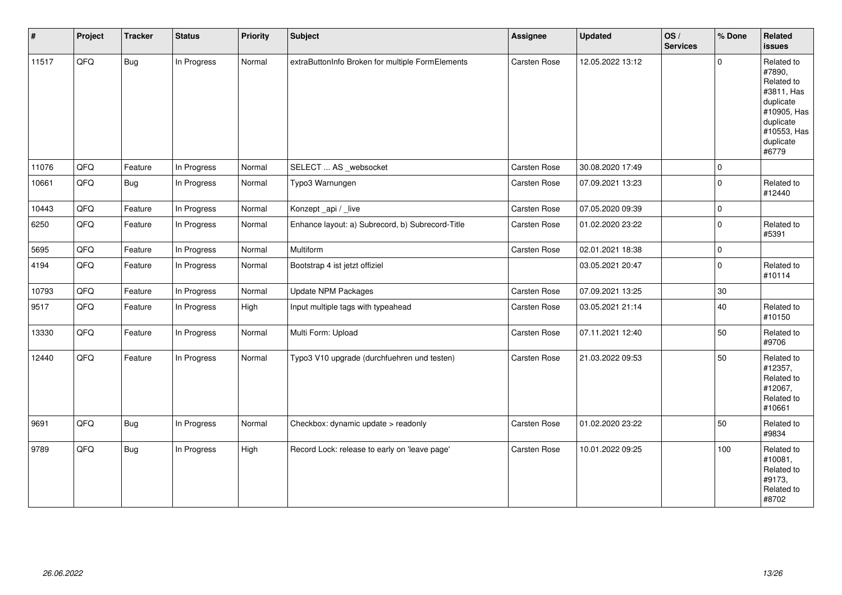| $\vert$ # | Project | <b>Tracker</b> | <b>Status</b> | <b>Priority</b> | <b>Subject</b>                                   | Assignee            | <b>Updated</b>   | OS/<br><b>Services</b> | % Done      | Related<br><b>issues</b>                                                                                                       |
|-----------|---------|----------------|---------------|-----------------|--------------------------------------------------|---------------------|------------------|------------------------|-------------|--------------------------------------------------------------------------------------------------------------------------------|
| 11517     | QFQ     | <b>Bug</b>     | In Progress   | Normal          | extraButtonInfo Broken for multiple FormElements | Carsten Rose        | 12.05.2022 13:12 |                        | $\mathbf 0$ | Related to<br>#7890,<br>Related to<br>#3811, Has<br>duplicate<br>#10905, Has<br>duplicate<br>#10553, Has<br>duplicate<br>#6779 |
| 11076     | QFQ     | Feature        | In Progress   | Normal          | SELECT  AS _websocket                            | <b>Carsten Rose</b> | 30.08.2020 17:49 |                        | $\mathbf 0$ |                                                                                                                                |
| 10661     | QFQ     | <b>Bug</b>     | In Progress   | Normal          | Typo3 Warnungen                                  | <b>Carsten Rose</b> | 07.09.2021 13:23 |                        | $\Omega$    | Related to<br>#12440                                                                                                           |
| 10443     | QFQ     | Feature        | In Progress   | Normal          | Konzept_api / _live                              | Carsten Rose        | 07.05.2020 09:39 |                        | $\mathbf 0$ |                                                                                                                                |
| 6250      | QFQ     | Feature        | In Progress   | Normal          | Enhance layout: a) Subrecord, b) Subrecord-Title | <b>Carsten Rose</b> | 01.02.2020 23:22 |                        | $\mathbf 0$ | Related to<br>#5391                                                                                                            |
| 5695      | QFQ     | Feature        | In Progress   | Normal          | Multiform                                        | Carsten Rose        | 02.01.2021 18:38 |                        | $\pmb{0}$   |                                                                                                                                |
| 4194      | QFQ     | Feature        | In Progress   | Normal          | Bootstrap 4 ist jetzt offiziel                   |                     | 03.05.2021 20:47 |                        | $\Omega$    | Related to<br>#10114                                                                                                           |
| 10793     | QFQ     | Feature        | In Progress   | Normal          | <b>Update NPM Packages</b>                       | Carsten Rose        | 07.09.2021 13:25 |                        | 30          |                                                                                                                                |
| 9517      | QFO     | Feature        | In Progress   | High            | Input multiple tags with typeahead               | Carsten Rose        | 03.05.2021 21:14 |                        | 40          | Related to<br>#10150                                                                                                           |
| 13330     | QFQ     | Feature        | In Progress   | Normal          | Multi Form: Upload                               | Carsten Rose        | 07.11.2021 12:40 |                        | 50          | Related to<br>#9706                                                                                                            |
| 12440     | QFQ     | Feature        | In Progress   | Normal          | Typo3 V10 upgrade (durchfuehren und testen)      | Carsten Rose        | 21.03.2022 09:53 |                        | 50          | Related to<br>#12357,<br>Related to<br>#12067,<br>Related to<br>#10661                                                         |
| 9691      | QFQ     | <b>Bug</b>     | In Progress   | Normal          | Checkbox: dynamic update > readonly              | Carsten Rose        | 01.02.2020 23:22 |                        | 50          | Related to<br>#9834                                                                                                            |
| 9789      | QFQ     | Bug            | In Progress   | High            | Record Lock: release to early on 'leave page'    | Carsten Rose        | 10.01.2022 09:25 |                        | 100         | Related to<br>#10081,<br>Related to<br>#9173,<br>Related to<br>#8702                                                           |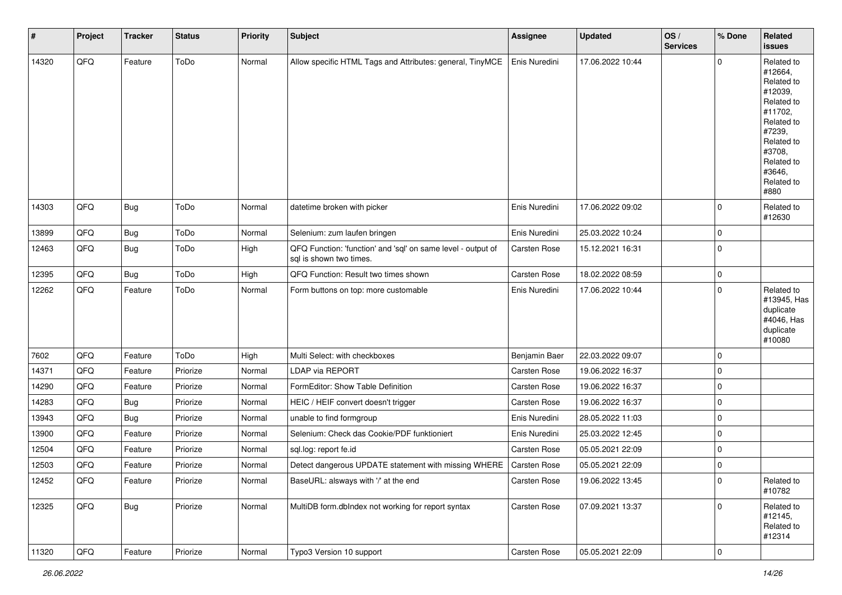| $\sharp$ | Project | <b>Tracker</b> | <b>Status</b> | Priority | <b>Subject</b>                                                                          | <b>Assignee</b>     | <b>Updated</b>   | OS/<br><b>Services</b> | % Done         | Related<br><b>issues</b>                                                                                                                                              |
|----------|---------|----------------|---------------|----------|-----------------------------------------------------------------------------------------|---------------------|------------------|------------------------|----------------|-----------------------------------------------------------------------------------------------------------------------------------------------------------------------|
| 14320    | QFQ     | Feature        | ToDo          | Normal   | Allow specific HTML Tags and Attributes: general, TinyMCE                               | Enis Nuredini       | 17.06.2022 10:44 |                        | $\Omega$       | Related to<br>#12664,<br>Related to<br>#12039,<br>Related to<br>#11702,<br>Related to<br>#7239,<br>Related to<br>#3708,<br>Related to<br>#3646,<br>Related to<br>#880 |
| 14303    | QFQ     | <b>Bug</b>     | ToDo          | Normal   | datetime broken with picker                                                             | Enis Nuredini       | 17.06.2022 09:02 |                        | 0              | Related to<br>#12630                                                                                                                                                  |
| 13899    | QFQ     | Bug            | ToDo          | Normal   | Selenium: zum laufen bringen                                                            | Enis Nuredini       | 25.03.2022 10:24 |                        | 0              |                                                                                                                                                                       |
| 12463    | QFQ     | <b>Bug</b>     | ToDo          | High     | QFQ Function: 'function' and 'sql' on same level - output of<br>sal is shown two times. | <b>Carsten Rose</b> | 15.12.2021 16:31 |                        | $\mathbf 0$    |                                                                                                                                                                       |
| 12395    | QFQ     | <b>Bug</b>     | ToDo          | High     | QFQ Function: Result two times shown                                                    | Carsten Rose        | 18.02.2022 08:59 |                        | $\mathbf 0$    |                                                                                                                                                                       |
| 12262    | QFQ     | Feature        | ToDo          | Normal   | Form buttons on top: more customable                                                    | Enis Nuredini       | 17.06.2022 10:44 |                        | $\Omega$       | Related to<br>#13945, Has<br>duplicate<br>#4046, Has<br>duplicate<br>#10080                                                                                           |
| 7602     | QFQ     | Feature        | ToDo          | High     | Multi Select: with checkboxes                                                           | Benjamin Baer       | 22.03.2022 09:07 |                        | $\overline{0}$ |                                                                                                                                                                       |
| 14371    | QFQ     | Feature        | Priorize      | Normal   | LDAP via REPORT                                                                         | <b>Carsten Rose</b> | 19.06.2022 16:37 |                        | 0              |                                                                                                                                                                       |
| 14290    | QFQ     | Feature        | Priorize      | Normal   | FormEditor: Show Table Definition                                                       | Carsten Rose        | 19.06.2022 16:37 |                        | $\overline{0}$ |                                                                                                                                                                       |
| 14283    | QFQ     | <b>Bug</b>     | Priorize      | Normal   | HEIC / HEIF convert doesn't trigger                                                     | Carsten Rose        | 19.06.2022 16:37 |                        | $\mathbf 0$    |                                                                                                                                                                       |
| 13943    | QFQ     | <b>Bug</b>     | Priorize      | Normal   | unable to find formgroup                                                                | Enis Nuredini       | 28.05.2022 11:03 |                        | $\mathbf 0$    |                                                                                                                                                                       |
| 13900    | QFQ     | Feature        | Priorize      | Normal   | Selenium: Check das Cookie/PDF funktioniert                                             | Enis Nuredini       | 25.03.2022 12:45 |                        | $\mathbf 0$    |                                                                                                                                                                       |
| 12504    | QFQ     | Feature        | Priorize      | Normal   | sql.log: report fe.id                                                                   | Carsten Rose        | 05.05.2021 22:09 |                        | $\pmb{0}$      |                                                                                                                                                                       |
| 12503    | QFQ     | Feature        | Priorize      | Normal   | Detect dangerous UPDATE statement with missing WHERE                                    | <b>Carsten Rose</b> | 05.05.2021 22:09 |                        | 0              |                                                                                                                                                                       |
| 12452    | QFQ     | Feature        | Priorize      | Normal   | BaseURL: alsways with '/' at the end                                                    | <b>Carsten Rose</b> | 19.06.2022 13:45 |                        | 0              | Related to<br>#10782                                                                                                                                                  |
| 12325    | QFQ     | <b>Bug</b>     | Priorize      | Normal   | MultiDB form.dblndex not working for report syntax                                      | Carsten Rose        | 07.09.2021 13:37 |                        | $\overline{0}$ | Related to<br>#12145,<br>Related to<br>#12314                                                                                                                         |
| 11320    | QFQ     | Feature        | Priorize      | Normal   | Typo3 Version 10 support                                                                | Carsten Rose        | 05.05.2021 22:09 |                        | $\overline{0}$ |                                                                                                                                                                       |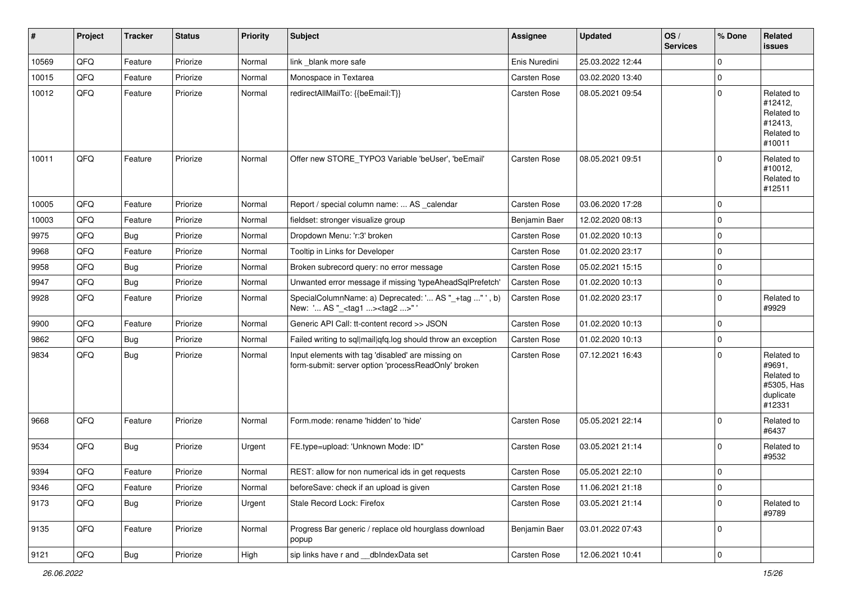| #     | Project        | <b>Tracker</b> | <b>Status</b> | <b>Priority</b> | <b>Subject</b>                                                                                           | <b>Assignee</b>     | <b>Updated</b>   | OS/<br><b>Services</b> | % Done      | Related<br><b>issues</b>                                                |
|-------|----------------|----------------|---------------|-----------------|----------------------------------------------------------------------------------------------------------|---------------------|------------------|------------------------|-------------|-------------------------------------------------------------------------|
| 10569 | QFQ            | Feature        | Priorize      | Normal          | link _blank more safe                                                                                    | Enis Nuredini       | 25.03.2022 12:44 |                        | $\mathbf 0$ |                                                                         |
| 10015 | QFQ            | Feature        | Priorize      | Normal          | Monospace in Textarea                                                                                    | <b>Carsten Rose</b> | 03.02.2020 13:40 |                        | 0           |                                                                         |
| 10012 | QFQ            | Feature        | Priorize      | Normal          | redirectAllMailTo: {{beEmail:T}}                                                                         | Carsten Rose        | 08.05.2021 09:54 |                        | $\mathbf 0$ | Related to<br>#12412,<br>Related to<br>#12413,<br>Related to<br>#10011  |
| 10011 | QFQ            | Feature        | Priorize      | Normal          | Offer new STORE_TYPO3 Variable 'beUser', 'beEmail'                                                       | <b>Carsten Rose</b> | 08.05.2021 09:51 |                        | $\Omega$    | Related to<br>#10012,<br>Related to<br>#12511                           |
| 10005 | QFQ            | Feature        | Priorize      | Normal          | Report / special column name:  AS _calendar                                                              | <b>Carsten Rose</b> | 03.06.2020 17:28 |                        | $\mathbf 0$ |                                                                         |
| 10003 | QFQ            | Feature        | Priorize      | Normal          | fieldset: stronger visualize group                                                                       | Benjamin Baer       | 12.02.2020 08:13 |                        | $\mathbf 0$ |                                                                         |
| 9975  | QFQ            | Bug            | Priorize      | Normal          | Dropdown Menu: 'r:3' broken                                                                              | <b>Carsten Rose</b> | 01.02.2020 10:13 |                        | $\mathbf 0$ |                                                                         |
| 9968  | QFQ            | Feature        | Priorize      | Normal          | Tooltip in Links for Developer                                                                           | <b>Carsten Rose</b> | 01.02.2020 23:17 |                        | $\mathbf 0$ |                                                                         |
| 9958  | QFQ            | Bug            | Priorize      | Normal          | Broken subrecord query: no error message                                                                 | Carsten Rose        | 05.02.2021 15:15 |                        | 0           |                                                                         |
| 9947  | QFQ            | <b>Bug</b>     | Priorize      | Normal          | Unwanted error message if missing 'typeAheadSqlPrefetch'                                                 | <b>Carsten Rose</b> | 01.02.2020 10:13 |                        | 0           |                                                                         |
| 9928  | QFQ            | Feature        | Priorize      | Normal          | SpecialColumnName: a) Deprecated: ' AS "_+tag " ', b)<br>New: ' AS "_ <tag1><tag2>"</tag2></tag1>        | Carsten Rose        | 01.02.2020 23:17 |                        | $\mathbf 0$ | Related to<br>#9929                                                     |
| 9900  | QFQ            | Feature        | Priorize      | Normal          | Generic API Call: tt-content record >> JSON                                                              | Carsten Rose        | 01.02.2020 10:13 |                        | $\mathbf 0$ |                                                                         |
| 9862  | QFQ            | Bug            | Priorize      | Normal          | Failed writing to sql mail qfq.log should throw an exception                                             | <b>Carsten Rose</b> | 01.02.2020 10:13 |                        | $\mathbf 0$ |                                                                         |
| 9834  | QFQ            | <b>Bug</b>     | Priorize      | Normal          | Input elements with tag 'disabled' are missing on<br>form-submit: server option 'processReadOnly' broken | Carsten Rose        | 07.12.2021 16:43 |                        | $\Omega$    | Related to<br>#9691,<br>Related to<br>#5305, Has<br>duplicate<br>#12331 |
| 9668  | QFQ            | Feature        | Priorize      | Normal          | Form.mode: rename 'hidden' to 'hide'                                                                     | <b>Carsten Rose</b> | 05.05.2021 22:14 |                        | $\mathbf 0$ | Related to<br>#6437                                                     |
| 9534  | QFQ            | Bug            | Priorize      | Urgent          | FE.type=upload: 'Unknown Mode: ID"                                                                       | Carsten Rose        | 03.05.2021 21:14 |                        | $\mathbf 0$ | Related to<br>#9532                                                     |
| 9394  | QFQ            | Feature        | Priorize      | Normal          | REST: allow for non numerical ids in get requests                                                        | <b>Carsten Rose</b> | 05.05.2021 22:10 |                        | $\Omega$    |                                                                         |
| 9346  | QFQ            | Feature        | Priorize      | Normal          | beforeSave: check if an upload is given                                                                  | Carsten Rose        | 11.06.2021 21:18 |                        | $\mathbf 0$ |                                                                         |
| 9173  | QFQ            | <b>Bug</b>     | Priorize      | Urgent          | Stale Record Lock: Firefox                                                                               | Carsten Rose        | 03.05.2021 21:14 |                        | 0           | Related to<br>#9789                                                     |
| 9135  | QFQ            | Feature        | Priorize      | Normal          | Progress Bar generic / replace old hourglass download<br>popup                                           | Benjamin Baer       | 03.01.2022 07:43 |                        | 0           |                                                                         |
| 9121  | $\mathsf{QFQ}$ | Bug            | Priorize      | High            | sip links have r and __dbIndexData set                                                                   | Carsten Rose        | 12.06.2021 10:41 |                        | $\pmb{0}$   |                                                                         |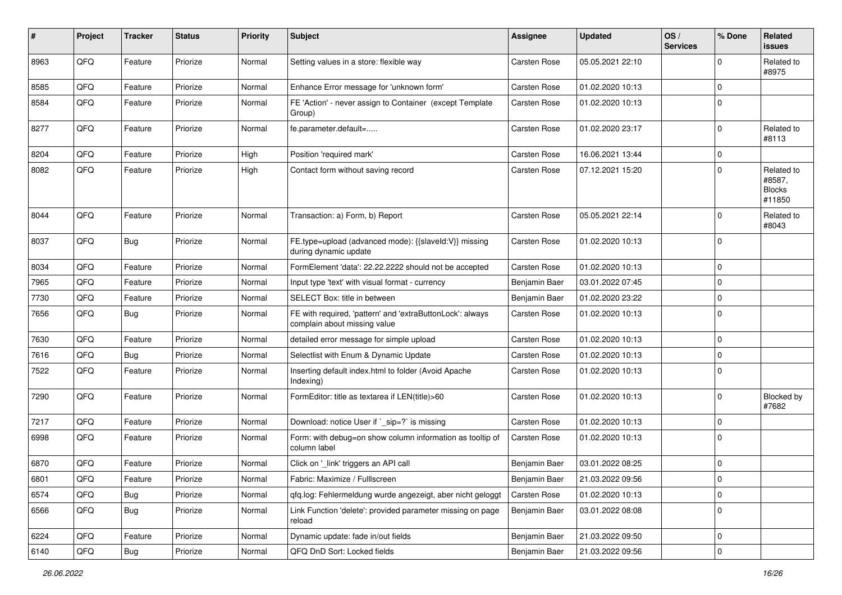| $\#$ | Project | <b>Tracker</b> | <b>Status</b> | <b>Priority</b> | <b>Subject</b>                                                                            | <b>Assignee</b>     | <b>Updated</b>   | OS/<br><b>Services</b> | % Done                  | Related<br><b>issues</b>                        |
|------|---------|----------------|---------------|-----------------|-------------------------------------------------------------------------------------------|---------------------|------------------|------------------------|-------------------------|-------------------------------------------------|
| 8963 | QFQ     | Feature        | Priorize      | Normal          | Setting values in a store: flexible way                                                   | Carsten Rose        | 05.05.2021 22:10 |                        | $\Omega$                | Related to<br>#8975                             |
| 8585 | QFQ     | Feature        | Priorize      | Normal          | Enhance Error message for 'unknown form'                                                  | <b>Carsten Rose</b> | 01.02.2020 10:13 |                        | $\mathbf 0$             |                                                 |
| 8584 | QFQ     | Feature        | Priorize      | Normal          | FE 'Action' - never assign to Container (except Template<br>Group)                        | <b>Carsten Rose</b> | 01.02.2020 10:13 |                        | $\mathbf 0$             |                                                 |
| 8277 | QFQ     | Feature        | Priorize      | Normal          | fe.parameter.default=                                                                     | <b>Carsten Rose</b> | 01.02.2020 23:17 |                        | $\Omega$                | Related to<br>#8113                             |
| 8204 | QFQ     | Feature        | Priorize      | High            | Position 'required mark'                                                                  | <b>Carsten Rose</b> | 16.06.2021 13:44 |                        | $\mathbf 0$             |                                                 |
| 8082 | QFQ     | Feature        | Priorize      | High            | Contact form without saving record                                                        | <b>Carsten Rose</b> | 07.12.2021 15:20 |                        | $\Omega$                | Related to<br>#8587,<br><b>Blocks</b><br>#11850 |
| 8044 | QFQ     | Feature        | Priorize      | Normal          | Transaction: a) Form, b) Report                                                           | <b>Carsten Rose</b> | 05.05.2021 22:14 |                        | $\Omega$                | Related to<br>#8043                             |
| 8037 | QFQ     | <b>Bug</b>     | Priorize      | Normal          | FE.type=upload (advanced mode): {{slaveId:V}} missing<br>during dynamic update            | Carsten Rose        | 01.02.2020 10:13 |                        | $\mathbf 0$             |                                                 |
| 8034 | QFQ     | Feature        | Priorize      | Normal          | FormElement 'data': 22.22.2222 should not be accepted                                     | Carsten Rose        | 01.02.2020 10:13 |                        | $\mathbf 0$             |                                                 |
| 7965 | QFQ     | Feature        | Priorize      | Normal          | Input type 'text' with visual format - currency                                           | Benjamin Baer       | 03.01.2022 07:45 |                        | $\mathbf 0$             |                                                 |
| 7730 | QFQ     | Feature        | Priorize      | Normal          | SELECT Box: title in between                                                              | Benjamin Baer       | 01.02.2020 23:22 |                        | $\mathbf 0$             |                                                 |
| 7656 | QFQ     | <b>Bug</b>     | Priorize      | Normal          | FE with required, 'pattern' and 'extraButtonLock': always<br>complain about missing value | <b>Carsten Rose</b> | 01.02.2020 10:13 |                        | 0                       |                                                 |
| 7630 | QFQ     | Feature        | Priorize      | Normal          | detailed error message for simple upload                                                  | <b>Carsten Rose</b> | 01.02.2020 10:13 |                        | $\mathbf 0$             |                                                 |
| 7616 | QFQ     | <b>Bug</b>     | Priorize      | Normal          | Selectlist with Enum & Dynamic Update                                                     | Carsten Rose        | 01.02.2020 10:13 |                        | $\Omega$                |                                                 |
| 7522 | QFQ     | Feature        | Priorize      | Normal          | Inserting default index.html to folder (Avoid Apache<br>Indexing)                         | <b>Carsten Rose</b> | 01.02.2020 10:13 |                        | $\Omega$                |                                                 |
| 7290 | QFQ     | Feature        | Priorize      | Normal          | FormEditor: title as textarea if LEN(title)>60                                            | <b>Carsten Rose</b> | 01.02.2020 10:13 |                        | $\mathbf 0$             | Blocked by<br>#7682                             |
| 7217 | QFQ     | Feature        | Priorize      | Normal          | Download: notice User if `_sip=?` is missing                                              | <b>Carsten Rose</b> | 01.02.2020 10:13 |                        | $\Omega$                |                                                 |
| 6998 | QFQ     | Feature        | Priorize      | Normal          | Form: with debug=on show column information as tooltip of<br>column label                 | <b>Carsten Rose</b> | 01.02.2020 10:13 |                        | $\mathbf 0$             |                                                 |
| 6870 | QFQ     | Feature        | Priorize      | Normal          | Click on '_link' triggers an API call                                                     | Benjamin Baer       | 03.01.2022 08:25 |                        | $\mathbf 0$             |                                                 |
| 6801 | QFQ     | Feature        | Priorize      | Normal          | Fabric: Maximize / Fulllscreen                                                            | Benjamin Baer       | 21.03.2022 09:56 |                        | 0                       |                                                 |
| 6574 | QFQ     | <b>Bug</b>     | Priorize      | Normal          | qfq.log: Fehlermeldung wurde angezeigt, aber nicht geloggt                                | Carsten Rose        | 01.02.2020 10:13 |                        | $\overline{\mathbf{0}}$ |                                                 |
| 6566 | QFQ     | <b>Bug</b>     | Priorize      | Normal          | Link Function 'delete': provided parameter missing on page<br>reload                      | Benjamin Baer       | 03.01.2022 08:08 |                        | $\overline{0}$          |                                                 |
| 6224 | QFQ     | Feature        | Priorize      | Normal          | Dynamic update: fade in/out fields                                                        | Benjamin Baer       | 21.03.2022 09:50 |                        | 0                       |                                                 |
| 6140 | QFQ     | Bug            | Priorize      | Normal          | QFQ DnD Sort: Locked fields                                                               | Benjamin Baer       | 21.03.2022 09:56 |                        | $\overline{0}$          |                                                 |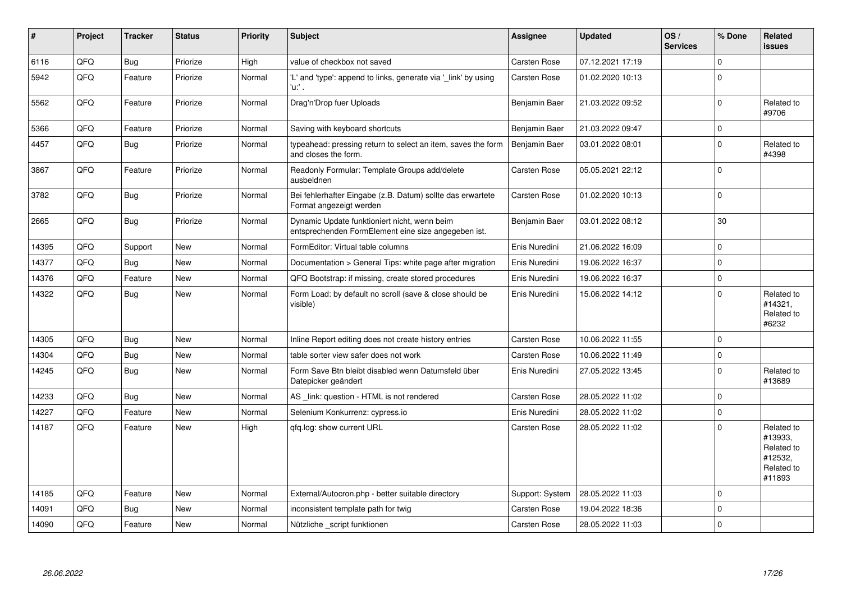| #     | Project | <b>Tracker</b> | <b>Status</b> | Priority | <b>Subject</b>                                                                                      | <b>Assignee</b>     | <b>Updated</b>   | OS/<br><b>Services</b> | % Done      | Related<br><b>issues</b>                                               |
|-------|---------|----------------|---------------|----------|-----------------------------------------------------------------------------------------------------|---------------------|------------------|------------------------|-------------|------------------------------------------------------------------------|
| 6116  | QFQ     | <b>Bug</b>     | Priorize      | High     | value of checkbox not saved                                                                         | <b>Carsten Rose</b> | 07.12.2021 17:19 |                        | $\mathbf 0$ |                                                                        |
| 5942  | QFQ     | Feature        | Priorize      | Normal   | 'L' and 'type': append to links, generate via '_link' by using<br>'u:' .                            | <b>Carsten Rose</b> | 01.02.2020 10:13 |                        | $\Omega$    |                                                                        |
| 5562  | QFQ     | Feature        | Priorize      | Normal   | Drag'n'Drop fuer Uploads                                                                            | Benjamin Baer       | 21.03.2022 09:52 |                        | $\Omega$    | Related to<br>#9706                                                    |
| 5366  | QFQ     | Feature        | Priorize      | Normal   | Saving with keyboard shortcuts                                                                      | Benjamin Baer       | 21.03.2022 09:47 |                        | $\mathbf 0$ |                                                                        |
| 4457  | QFQ     | Bug            | Priorize      | Normal   | typeahead: pressing return to select an item, saves the form<br>and closes the form.                | Benjamin Baer       | 03.01.2022 08:01 |                        | $\Omega$    | Related to<br>#4398                                                    |
| 3867  | QFQ     | Feature        | Priorize      | Normal   | Readonly Formular: Template Groups add/delete<br>ausbeldnen                                         | <b>Carsten Rose</b> | 05.05.2021 22:12 |                        | $\Omega$    |                                                                        |
| 3782  | QFQ     | <b>Bug</b>     | Priorize      | Normal   | Bei fehlerhafter Eingabe (z.B. Datum) sollte das erwartete<br>Format angezeigt werden               | <b>Carsten Rose</b> | 01.02.2020 10:13 |                        | $\Omega$    |                                                                        |
| 2665  | QFQ     | <b>Bug</b>     | Priorize      | Normal   | Dynamic Update funktioniert nicht, wenn beim<br>entsprechenden FormElement eine size angegeben ist. | Benjamin Baer       | 03.01.2022 08:12 |                        | 30          |                                                                        |
| 14395 | QFQ     | Support        | <b>New</b>    | Normal   | FormEditor: Virtual table columns                                                                   | Enis Nuredini       | 21.06.2022 16:09 |                        | $\pmb{0}$   |                                                                        |
| 14377 | QFQ     | Bug            | <b>New</b>    | Normal   | Documentation > General Tips: white page after migration                                            | Enis Nuredini       | 19.06.2022 16:37 |                        | $\Omega$    |                                                                        |
| 14376 | QFQ     | Feature        | New           | Normal   | QFQ Bootstrap: if missing, create stored procedures                                                 | Enis Nuredini       | 19.06.2022 16:37 |                        | $\Omega$    |                                                                        |
| 14322 | QFQ     | <b>Bug</b>     | <b>New</b>    | Normal   | Form Load: by default no scroll (save & close should be<br>visible)                                 | Enis Nuredini       | 15.06.2022 14:12 |                        | $\Omega$    | Related to<br>#14321,<br>Related to<br>#6232                           |
| 14305 | QFQ     | <b>Bug</b>     | <b>New</b>    | Normal   | Inline Report editing does not create history entries                                               | <b>Carsten Rose</b> | 10.06.2022 11:55 |                        | $\Omega$    |                                                                        |
| 14304 | QFQ     | <b>Bug</b>     | <b>New</b>    | Normal   | table sorter view safer does not work                                                               | <b>Carsten Rose</b> | 10.06.2022 11:49 |                        | $\Omega$    |                                                                        |
| 14245 | QFQ     | Bug            | New           | Normal   | Form Save Btn bleibt disabled wenn Datumsfeld über<br>Datepicker geändert                           | Enis Nuredini       | 27.05.2022 13:45 |                        | $\Omega$    | Related to<br>#13689                                                   |
| 14233 | QFQ     | Bug            | <b>New</b>    | Normal   | AS link: question - HTML is not rendered                                                            | <b>Carsten Rose</b> | 28.05.2022 11:02 |                        | $\mathbf 0$ |                                                                        |
| 14227 | QFQ     | Feature        | New           | Normal   | Selenium Konkurrenz: cypress.io                                                                     | Enis Nuredini       | 28.05.2022 11:02 |                        | $\mathbf 0$ |                                                                        |
| 14187 | QFQ     | Feature        | New           | High     | gfg.log: show current URL                                                                           | <b>Carsten Rose</b> | 28.05.2022 11:02 |                        | $\Omega$    | Related to<br>#13933.<br>Related to<br>#12532,<br>Related to<br>#11893 |
| 14185 | QFQ     | Feature        | <b>New</b>    | Normal   | External/Autocron.php - better suitable directory                                                   | Support: System     | 28.05.2022 11:03 |                        | $\Omega$    |                                                                        |
| 14091 | QFQ     | Bug            | <b>New</b>    | Normal   | inconsistent template path for twig                                                                 | <b>Carsten Rose</b> | 19.04.2022 18:36 |                        | $\Omega$    |                                                                        |
| 14090 | QFQ     | Feature        | New           | Normal   | Nützliche script funktionen                                                                         | <b>Carsten Rose</b> | 28.05.2022 11:03 |                        | $\mathbf 0$ |                                                                        |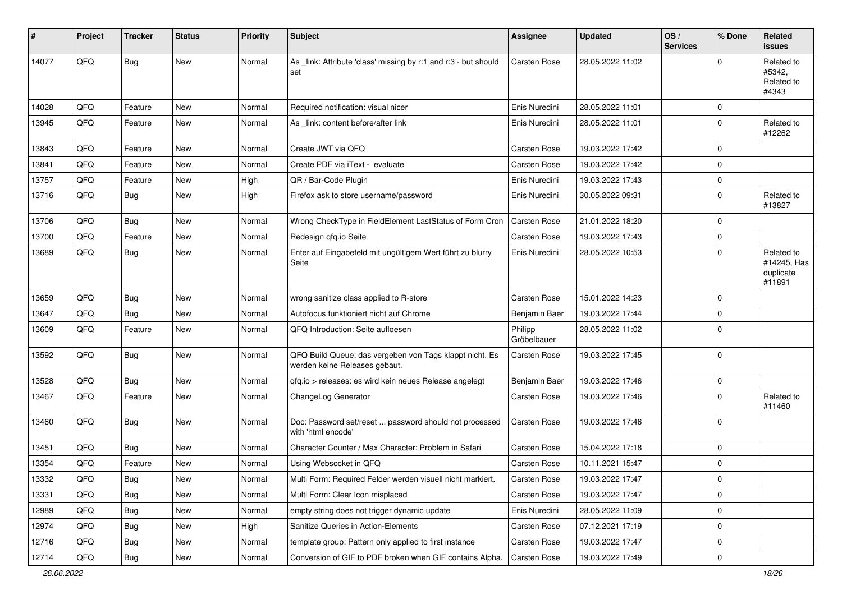| ∦     | Project | <b>Tracker</b> | <b>Status</b> | <b>Priority</b> | Subject                                                                                  | <b>Assignee</b>        | <b>Updated</b>   | OS/<br><b>Services</b> | % Done      | Related<br><b>issues</b>                         |
|-------|---------|----------------|---------------|-----------------|------------------------------------------------------------------------------------------|------------------------|------------------|------------------------|-------------|--------------------------------------------------|
| 14077 | QFQ     | <b>Bug</b>     | <b>New</b>    | Normal          | As _link: Attribute 'class' missing by r:1 and r:3 - but should<br>set                   | Carsten Rose           | 28.05.2022 11:02 |                        | $\Omega$    | Related to<br>#5342.<br>Related to<br>#4343      |
| 14028 | QFQ     | Feature        | <b>New</b>    | Normal          | Required notification: visual nicer                                                      | Enis Nuredini          | 28.05.2022 11:01 |                        | $\Omega$    |                                                  |
| 13945 | QFQ     | Feature        | New           | Normal          | As _link: content before/after link                                                      | Enis Nuredini          | 28.05.2022 11:01 |                        | $\mathbf 0$ | Related to<br>#12262                             |
| 13843 | QFQ     | Feature        | <b>New</b>    | Normal          | Create JWT via QFQ                                                                       | <b>Carsten Rose</b>    | 19.03.2022 17:42 |                        | $\Omega$    |                                                  |
| 13841 | QFQ     | Feature        | <b>New</b>    | Normal          | Create PDF via iText - evaluate                                                          | <b>Carsten Rose</b>    | 19.03.2022 17:42 |                        | $\Omega$    |                                                  |
| 13757 | QFQ     | Feature        | New           | High            | QR / Bar-Code Plugin                                                                     | Enis Nuredini          | 19.03.2022 17:43 |                        | 0           |                                                  |
| 13716 | QFQ     | Bug            | New           | High            | Firefox ask to store username/password                                                   | Enis Nuredini          | 30.05.2022 09:31 |                        | $\mathbf 0$ | Related to<br>#13827                             |
| 13706 | QFQ     | <b>Bug</b>     | <b>New</b>    | Normal          | Wrong CheckType in FieldElement LastStatus of Form Cron                                  | <b>Carsten Rose</b>    | 21.01.2022 18:20 |                        | $\Omega$    |                                                  |
| 13700 | QFQ     | Feature        | New           | Normal          | Redesign qfq.io Seite                                                                    | <b>Carsten Rose</b>    | 19.03.2022 17:43 |                        | $\mathbf 0$ |                                                  |
| 13689 | QFQ     | <b>Bug</b>     | <b>New</b>    | Normal          | Enter auf Eingabefeld mit ungültigem Wert führt zu blurry<br>Seite                       | Enis Nuredini          | 28.05.2022 10:53 |                        | $\Omega$    | Related to<br>#14245, Has<br>duplicate<br>#11891 |
| 13659 | QFQ     | <b>Bug</b>     | New           | Normal          | wrong sanitize class applied to R-store                                                  | <b>Carsten Rose</b>    | 15.01.2022 14:23 |                        | $\Omega$    |                                                  |
| 13647 | QFQ     | <b>Bug</b>     | <b>New</b>    | Normal          | Autofocus funktioniert nicht auf Chrome                                                  | Benjamin Baer          | 19.03.2022 17:44 |                        | $\Omega$    |                                                  |
| 13609 | QFQ     | Feature        | New           | Normal          | QFQ Introduction: Seite aufloesen                                                        | Philipp<br>Gröbelbauer | 28.05.2022 11:02 |                        | $\Omega$    |                                                  |
| 13592 | QFQ     | <b>Bug</b>     | New           | Normal          | QFQ Build Queue: das vergeben von Tags klappt nicht. Es<br>werden keine Releases gebaut. | <b>Carsten Rose</b>    | 19.03.2022 17:45 |                        | $\mathbf 0$ |                                                  |
| 13528 | QFQ     | Bug            | <b>New</b>    | Normal          | qfq.io > releases: es wird kein neues Release angelegt                                   | Benjamin Baer          | 19.03.2022 17:46 |                        | $\mathbf 0$ |                                                  |
| 13467 | QFQ     | Feature        | <b>New</b>    | Normal          | ChangeLog Generator                                                                      | <b>Carsten Rose</b>    | 19.03.2022 17:46 |                        | $\Omega$    | Related to<br>#11460                             |
| 13460 | QFQ     | Bug            | <b>New</b>    | Normal          | Doc: Password set/reset  password should not processed<br>with 'html encode'             | Carsten Rose           | 19.03.2022 17:46 |                        | $\mathbf 0$ |                                                  |
| 13451 | QFQ     | <b>Bug</b>     | <b>New</b>    | Normal          | Character Counter / Max Character: Problem in Safari                                     | Carsten Rose           | 15.04.2022 17:18 |                        | $\mathbf 0$ |                                                  |
| 13354 | QFQ     | Feature        | New           | Normal          | Using Websocket in QFQ                                                                   | <b>Carsten Rose</b>    | 10.11.2021 15:47 |                        | $\mathbf 0$ |                                                  |
| 13332 | QFQ     | <b>Bug</b>     | <b>New</b>    | Normal          | Multi Form: Required Felder werden visuell nicht markiert.                               | Carsten Rose           | 19.03.2022 17:47 |                        | 0           |                                                  |
| 13331 | QFQ     | <b>Bug</b>     | New           | Normal          | Multi Form: Clear Icon misplaced                                                         | Carsten Rose           | 19.03.2022 17:47 |                        | $\mathbf 0$ |                                                  |
| 12989 | QFQ     | <b>Bug</b>     | <b>New</b>    | Normal          | empty string does not trigger dynamic update                                             | Enis Nuredini          | 28.05.2022 11:09 |                        | 0           |                                                  |
| 12974 | QFQ     | <b>Bug</b>     | New           | High            | Sanitize Queries in Action-Elements                                                      | Carsten Rose           | 07.12.2021 17:19 |                        | 0           |                                                  |
| 12716 | QFQ     | <b>Bug</b>     | New           | Normal          | template group: Pattern only applied to first instance                                   | Carsten Rose           | 19.03.2022 17:47 |                        | 0           |                                                  |
| 12714 | QFQ     | Bug            | New           | Normal          | Conversion of GIF to PDF broken when GIF contains Alpha.                                 | <b>Carsten Rose</b>    | 19.03.2022 17:49 |                        | 0           |                                                  |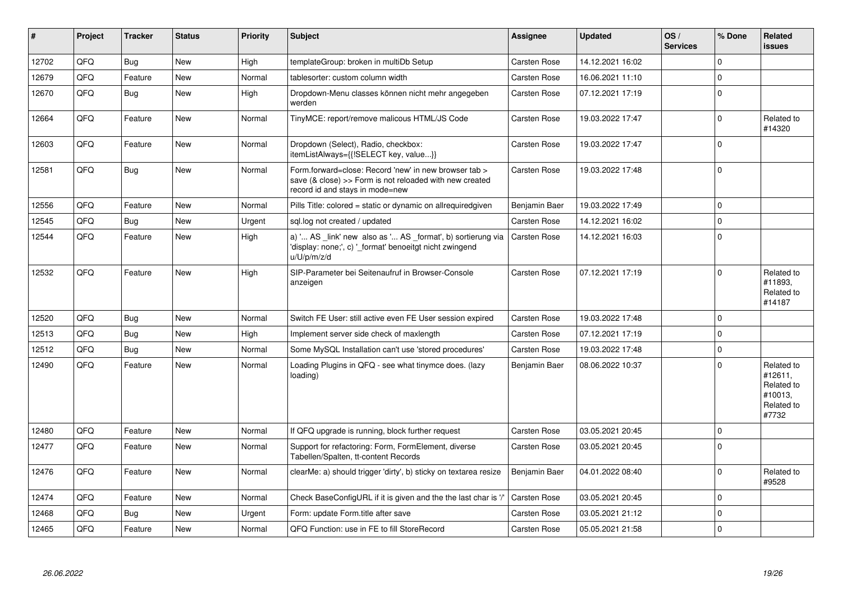| #     | Project    | <b>Tracker</b> | <b>Status</b> | <b>Priority</b> | <b>Subject</b>                                                                                                                                      | Assignee             | <b>Updated</b>   | OS/<br><b>Services</b> | % Done      | <b>Related</b><br><b>issues</b>                                       |
|-------|------------|----------------|---------------|-----------------|-----------------------------------------------------------------------------------------------------------------------------------------------------|----------------------|------------------|------------------------|-------------|-----------------------------------------------------------------------|
| 12702 | QFQ        | <b>Bug</b>     | <b>New</b>    | High            | templateGroup: broken in multiDb Setup                                                                                                              | Carsten Rose         | 14.12.2021 16:02 |                        | $\Omega$    |                                                                       |
| 12679 | QFQ        | Feature        | <b>New</b>    | Normal          | tablesorter: custom column width                                                                                                                    | Carsten Rose         | 16.06.2021 11:10 |                        | $\mathbf 0$ |                                                                       |
| 12670 | QFQ        | Bug            | <b>New</b>    | High            | Dropdown-Menu classes können nicht mehr angegeben<br>werden                                                                                         | Carsten Rose         | 07.12.2021 17:19 |                        | $\Omega$    |                                                                       |
| 12664 | QFQ        | Feature        | <b>New</b>    | Normal          | TinyMCE: report/remove malicous HTML/JS Code                                                                                                        | <b>Carsten Rose</b>  | 19.03.2022 17:47 |                        | $\Omega$    | Related to<br>#14320                                                  |
| 12603 | QFQ        | Feature        | <b>New</b>    | Normal          | Dropdown (Select), Radio, checkbox:<br>itemListAlways={{!SELECT key, value}}                                                                        | Carsten Rose         | 19.03.2022 17:47 |                        | $\Omega$    |                                                                       |
| 12581 | QFQ        | <b>Bug</b>     | <b>New</b>    | Normal          | Form.forward=close: Record 'new' in new browser tab ><br>save (& close) >> Form is not reloaded with new created<br>record id and stays in mode=new | Carsten Rose         | 19.03.2022 17:48 |                        | $\Omega$    |                                                                       |
| 12556 | <b>OFO</b> | Feature        | <b>New</b>    | Normal          | Pills Title: colored = static or dynamic on allrequiredgiven                                                                                        | Benjamin Baer        | 19.03.2022 17:49 |                        | $\Omega$    |                                                                       |
| 12545 | QFQ        | <b>Bug</b>     | <b>New</b>    | Urgent          | sql.log not created / updated                                                                                                                       | <b>Carsten Rose</b>  | 14.12.2021 16:02 |                        | $\Omega$    |                                                                       |
| 12544 | QFQ        | Feature        | <b>New</b>    | High            | a) ' AS _link' new also as ' AS _format', b) sortierung via<br>'display: none;', c) ' format' benoeitgt nicht zwingend<br>u/U/p/m/z/d               | <b>Carsten Rose</b>  | 14.12.2021 16:03 |                        | $\mathbf 0$ |                                                                       |
| 12532 | QFQ        | Feature        | <b>New</b>    | High            | SIP-Parameter bei Seitenaufruf in Browser-Console<br>anzeigen                                                                                       | <b>Carsten Rose</b>  | 07.12.2021 17:19 |                        | $\Omega$    | Related to<br>#11893.<br>Related to<br>#14187                         |
| 12520 | QFQ        | <b>Bug</b>     | <b>New</b>    | Normal          | Switch FE User: still active even FE User session expired                                                                                           | <b>Carsten Rose</b>  | 19.03.2022 17:48 |                        | $\Omega$    |                                                                       |
| 12513 | QFQ        | <b>Bug</b>     | <b>New</b>    | High            | Implement server side check of maxlength                                                                                                            | <b>Carsten Rose</b>  | 07.12.2021 17:19 |                        | $\Omega$    |                                                                       |
| 12512 | QFQ        | Bug            | <b>New</b>    | Normal          | Some MySQL Installation can't use 'stored procedures'                                                                                               | Carsten Rose         | 19.03.2022 17:48 |                        | $\mathbf 0$ |                                                                       |
| 12490 | QFQ        | Feature        | <b>New</b>    | Normal          | Loading Plugins in QFQ - see what tinymce does. (lazy<br>loading)                                                                                   | <b>Benjamin Baer</b> | 08.06.2022 10:37 |                        | $\Omega$    | Related to<br>#12611,<br>Related to<br>#10013.<br>Related to<br>#7732 |
| 12480 | QFQ        | Feature        | <b>New</b>    | Normal          | If QFQ upgrade is running, block further request                                                                                                    | Carsten Rose         | 03.05.2021 20:45 |                        | $\Omega$    |                                                                       |
| 12477 | QFQ        | Feature        | New           | Normal          | Support for refactoring: Form, FormElement, diverse<br>Tabellen/Spalten, tt-content Records                                                         | <b>Carsten Rose</b>  | 03.05.2021 20:45 |                        | $\Omega$    |                                                                       |
| 12476 | QFQ        | Feature        | <b>New</b>    | Normal          | clearMe: a) should trigger 'dirty', b) sticky on textarea resize                                                                                    | Benjamin Baer        | 04.01.2022 08:40 |                        | $\Omega$    | Related to<br>#9528                                                   |
| 12474 | QFQ        | Feature        | <b>New</b>    | Normal          | Check BaseConfigURL if it is given and the the last char is '/                                                                                      | <b>Carsten Rose</b>  | 03.05.2021 20:45 |                        | $\Omega$    |                                                                       |
| 12468 | QFQ        | <b>Bug</b>     | <b>New</b>    | Urgent          | Form: update Form.title after save                                                                                                                  | Carsten Rose         | 03.05.2021 21:12 |                        | $\Omega$    |                                                                       |
| 12465 | QFQ        | Feature        | <b>New</b>    | Normal          | QFQ Function: use in FE to fill StoreRecord                                                                                                         | Carsten Rose         | 05.05.2021 21:58 |                        | $\Omega$    |                                                                       |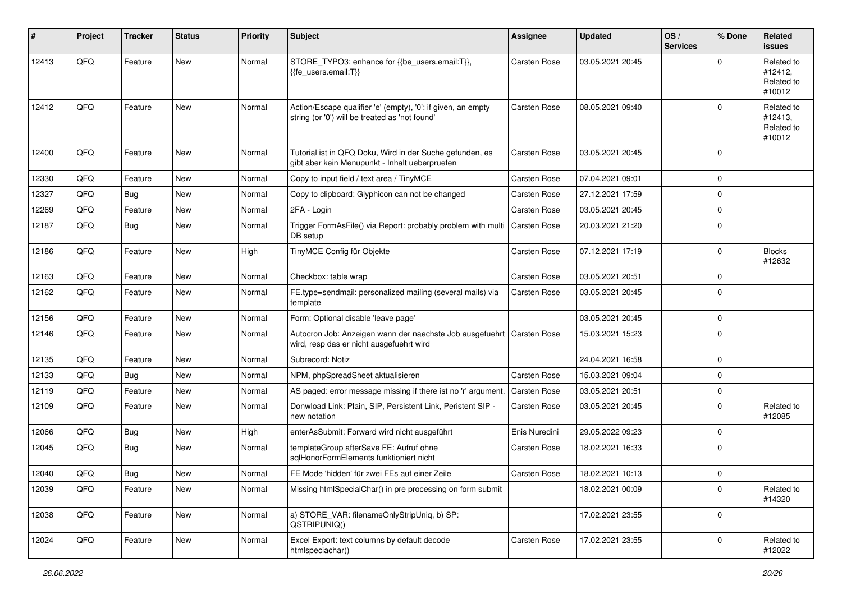| #     | Project | <b>Tracker</b> | <b>Status</b> | <b>Priority</b> | <b>Subject</b>                                                                                                 | <b>Assignee</b>     | <b>Updated</b>   | OS/<br><b>Services</b> | % Done      | <b>Related</b><br><b>issues</b>               |
|-------|---------|----------------|---------------|-----------------|----------------------------------------------------------------------------------------------------------------|---------------------|------------------|------------------------|-------------|-----------------------------------------------|
| 12413 | QFQ     | Feature        | New           | Normal          | STORE_TYPO3: enhance for {{be_users.email:T}},<br>{{fe users.email:T}}                                         | <b>Carsten Rose</b> | 03.05.2021 20:45 |                        | $\Omega$    | Related to<br>#12412,<br>Related to<br>#10012 |
| 12412 | QFQ     | Feature        | <b>New</b>    | Normal          | Action/Escape qualifier 'e' (empty), '0': if given, an empty<br>string (or '0') will be treated as 'not found' | <b>Carsten Rose</b> | 08.05.2021 09:40 |                        | $\Omega$    | Related to<br>#12413,<br>Related to<br>#10012 |
| 12400 | QFQ     | Feature        | <b>New</b>    | Normal          | Tutorial ist in QFQ Doku, Wird in der Suche gefunden, es<br>gibt aber kein Menupunkt - Inhalt ueberpruefen     | <b>Carsten Rose</b> | 03.05.2021 20:45 |                        | $\Omega$    |                                               |
| 12330 | QFQ     | Feature        | New           | Normal          | Copy to input field / text area / TinyMCE                                                                      | <b>Carsten Rose</b> | 07.04.2021 09:01 |                        | $\Omega$    |                                               |
| 12327 | QFQ     | <b>Bug</b>     | <b>New</b>    | Normal          | Copy to clipboard: Glyphicon can not be changed                                                                | <b>Carsten Rose</b> | 27.12.2021 17:59 |                        | $\mathbf 0$ |                                               |
| 12269 | QFQ     | Feature        | New           | Normal          | 2FA - Login                                                                                                    | <b>Carsten Rose</b> | 03.05.2021 20:45 |                        | $\Omega$    |                                               |
| 12187 | QFQ     | <b>Bug</b>     | New           | Normal          | Trigger FormAsFile() via Report: probably problem with multi<br>DB setup                                       | Carsten Rose        | 20.03.2021 21:20 |                        | $\mathbf 0$ |                                               |
| 12186 | QFQ     | Feature        | <b>New</b>    | High            | TinyMCE Config für Objekte                                                                                     | <b>Carsten Rose</b> | 07.12.2021 17:19 |                        | $\Omega$    | <b>Blocks</b><br>#12632                       |
| 12163 | QFQ     | Feature        | <b>New</b>    | Normal          | Checkbox: table wrap                                                                                           | <b>Carsten Rose</b> | 03.05.2021 20:51 |                        | $\mathbf 0$ |                                               |
| 12162 | QFQ     | Feature        | New           | Normal          | FE.type=sendmail: personalized mailing (several mails) via<br>template                                         | <b>Carsten Rose</b> | 03.05.2021 20:45 |                        | $\mathbf 0$ |                                               |
| 12156 | QFQ     | Feature        | New           | Normal          | Form: Optional disable 'leave page'                                                                            |                     | 03.05.2021 20:45 |                        | $\mathbf 0$ |                                               |
| 12146 | QFQ     | Feature        | New           | Normal          | Autocron Job: Anzeigen wann der naechste Job ausgefuehrt<br>wird, resp das er nicht ausgefuehrt wird           | <b>Carsten Rose</b> | 15.03.2021 15:23 |                        | $\mathbf 0$ |                                               |
| 12135 | QFQ     | Feature        | <b>New</b>    | Normal          | Subrecord: Notiz                                                                                               |                     | 24.04.2021 16:58 |                        | $\Omega$    |                                               |
| 12133 | QFQ     | <b>Bug</b>     | <b>New</b>    | Normal          | NPM, phpSpreadSheet aktualisieren                                                                              | <b>Carsten Rose</b> | 15.03.2021 09:04 |                        | $\Omega$    |                                               |
| 12119 | QFQ     | Feature        | New           | Normal          | AS paged: error message missing if there ist no 'r' argument                                                   | <b>Carsten Rose</b> | 03.05.2021 20:51 |                        | $\mathbf 0$ |                                               |
| 12109 | QFQ     | Feature        | New           | Normal          | Donwload Link: Plain, SIP, Persistent Link, Peristent SIP -<br>new notation                                    | <b>Carsten Rose</b> | 03.05.2021 20:45 |                        | $\Omega$    | Related to<br>#12085                          |
| 12066 | QFQ     | Bug            | New           | High            | enterAsSubmit: Forward wird nicht ausgeführt                                                                   | Enis Nuredini       | 29.05.2022 09:23 |                        | $\mathbf 0$ |                                               |
| 12045 | QFQ     | <b>Bug</b>     | New           | Normal          | templateGroup afterSave FE: Aufruf ohne<br>sqlHonorFormElements funktioniert nicht                             | <b>Carsten Rose</b> | 18.02.2021 16:33 |                        | $\mathbf 0$ |                                               |
| 12040 | QFQ     | Bug            | New           | Normal          | FE Mode 'hidden' für zwei FEs auf einer Zeile                                                                  | <b>Carsten Rose</b> | 18.02.2021 10:13 |                        | $\mathbf 0$ |                                               |
| 12039 | QFQ     | Feature        | New           | Normal          | Missing htmlSpecialChar() in pre processing on form submit                                                     |                     | 18.02.2021 00:09 |                        | 0           | Related to<br>#14320                          |
| 12038 | QFQ     | Feature        | New           | Normal          | a) STORE_VAR: filenameOnlyStripUniq, b) SP:<br>QSTRIPUNIQ()                                                    |                     | 17.02.2021 23:55 |                        | 0           |                                               |
| 12024 | QFQ     | Feature        | New           | Normal          | Excel Export: text columns by default decode<br>htmlspeciachar()                                               | Carsten Rose        | 17.02.2021 23:55 |                        | 0           | Related to<br>#12022                          |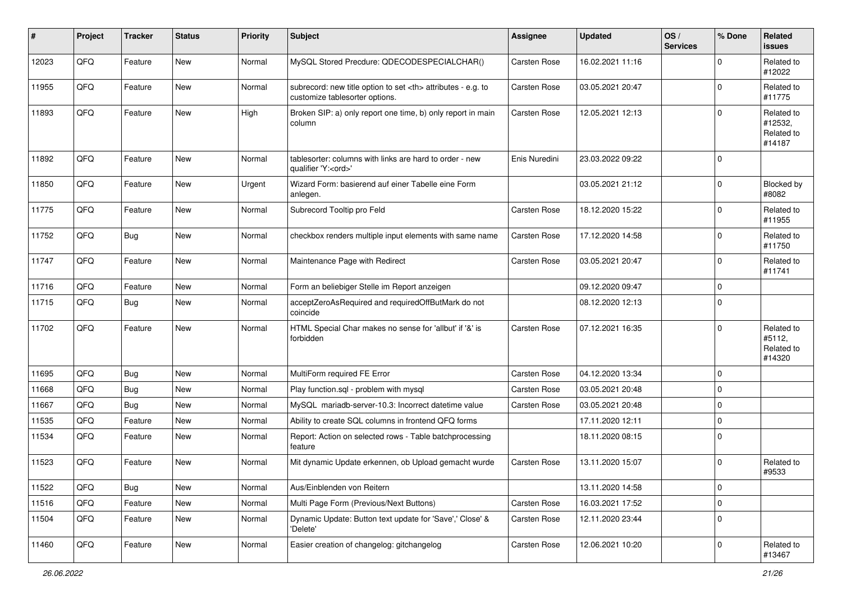| #     | Project | <b>Tracker</b> | <b>Status</b> | <b>Priority</b> | Subject                                                                                              | <b>Assignee</b>                                        | <b>Updated</b>      | OS/<br><b>Services</b> | % Done      | Related<br><b>issues</b>                      |                      |
|-------|---------|----------------|---------------|-----------------|------------------------------------------------------------------------------------------------------|--------------------------------------------------------|---------------------|------------------------|-------------|-----------------------------------------------|----------------------|
| 12023 | QFQ     | Feature        | <b>New</b>    | Normal          | MySQL Stored Precdure: QDECODESPECIALCHAR()                                                          | Carsten Rose                                           | 16.02.2021 11:16    |                        | $\Omega$    | Related to<br>#12022                          |                      |
| 11955 | QFQ     | Feature        | New           | Normal          | subrecord: new title option to set <th> attributes - e.g. to<br/>customize tablesorter options.</th> | attributes - e.g. to<br>customize tablesorter options. | <b>Carsten Rose</b> | 03.05.2021 20:47       |             | $\mathbf 0$                                   | Related to<br>#11775 |
| 11893 | QFQ     | Feature        | <b>New</b>    | High            | Broken SIP: a) only report one time, b) only report in main<br>column                                | <b>Carsten Rose</b>                                    | 12.05.2021 12:13    |                        | $\Omega$    | Related to<br>#12532,<br>Related to<br>#14187 |                      |
| 11892 | QFQ     | Feature        | <b>New</b>    | Normal          | tablesorter: columns with links are hard to order - new<br>qualifier 'Y: <ord>'</ord>                | Enis Nuredini                                          | 23.03.2022 09:22    |                        | $\Omega$    |                                               |                      |
| 11850 | QFQ     | Feature        | <b>New</b>    | Urgent          | Wizard Form: basierend auf einer Tabelle eine Form<br>anlegen.                                       |                                                        | 03.05.2021 21:12    |                        | $\Omega$    | Blocked by<br>#8082                           |                      |
| 11775 | QFQ     | Feature        | <b>New</b>    | Normal          | Subrecord Tooltip pro Feld                                                                           | Carsten Rose                                           | 18.12.2020 15:22    |                        | $\Omega$    | Related to<br>#11955                          |                      |
| 11752 | QFQ     | Bug            | New           | Normal          | checkbox renders multiple input elements with same name                                              | <b>Carsten Rose</b>                                    | 17.12.2020 14:58    |                        | $\Omega$    | Related to<br>#11750                          |                      |
| 11747 | QFQ     | Feature        | New           | Normal          | Maintenance Page with Redirect                                                                       | <b>Carsten Rose</b>                                    | 03.05.2021 20:47    |                        | $\mathbf 0$ | Related to<br>#11741                          |                      |
| 11716 | QFQ     | Feature        | New           | Normal          | Form an beliebiger Stelle im Report anzeigen                                                         |                                                        | 09.12.2020 09:47    |                        | $\Omega$    |                                               |                      |
| 11715 | QFQ     | <b>Bug</b>     | <b>New</b>    | Normal          | acceptZeroAsRequired and requiredOffButMark do not<br>coincide                                       |                                                        | 08.12.2020 12:13    |                        | $\Omega$    |                                               |                      |
| 11702 | QFQ     | Feature        | <b>New</b>    | Normal          | HTML Special Char makes no sense for 'allbut' if '&' is<br>forbidden                                 | <b>Carsten Rose</b>                                    | 07.12.2021 16:35    |                        | $\Omega$    | Related to<br>#5112,<br>Related to<br>#14320  |                      |
| 11695 | QFQ     | <b>Bug</b>     | <b>New</b>    | Normal          | MultiForm required FE Error                                                                          | <b>Carsten Rose</b>                                    | 04.12.2020 13:34    |                        | $\mathbf 0$ |                                               |                      |
| 11668 | QFQ     | <b>Bug</b>     | <b>New</b>    | Normal          | Play function.sql - problem with mysql                                                               | <b>Carsten Rose</b>                                    | 03.05.2021 20:48    |                        | $\Omega$    |                                               |                      |
| 11667 | QFQ     | Bug            | New           | Normal          | MySQL mariadb-server-10.3: Incorrect datetime value                                                  | Carsten Rose                                           | 03.05.2021 20:48    |                        | $\Omega$    |                                               |                      |
| 11535 | QFQ     | Feature        | <b>New</b>    | Normal          | Ability to create SQL columns in frontend QFQ forms                                                  |                                                        | 17.11.2020 12:11    |                        | $\Omega$    |                                               |                      |
| 11534 | QFQ     | Feature        | <b>New</b>    | Normal          | Report: Action on selected rows - Table batchprocessing<br>feature                                   |                                                        | 18.11.2020 08:15    |                        | $\Omega$    |                                               |                      |
| 11523 | QFQ     | Feature        | <b>New</b>    | Normal          | Mit dynamic Update erkennen, ob Upload gemacht wurde                                                 | <b>Carsten Rose</b>                                    | 13.11.2020 15:07    |                        | $\Omega$    | Related to<br>#9533                           |                      |
| 11522 | QFQ     | Bug            | New           | Normal          | Aus/Einblenden von Reitern                                                                           |                                                        | 13.11.2020 14:58    |                        | $\mathbf 0$ |                                               |                      |
| 11516 | QFQ     | Feature        | New           | Normal          | Multi Page Form (Previous/Next Buttons)                                                              | Carsten Rose                                           | 16.03.2021 17:52    |                        | $\mathbf 0$ |                                               |                      |
| 11504 | QFQ     | Feature        | New           | Normal          | Dynamic Update: Button text update for 'Save',' Close' &<br>'Delete'                                 | Carsten Rose                                           | 12.11.2020 23:44    |                        | $\mathbf 0$ |                                               |                      |
| 11460 | QFQ     | Feature        | New           | Normal          | Easier creation of changelog: gitchangelog                                                           | Carsten Rose                                           | 12.06.2021 10:20    |                        | $\mathbf 0$ | Related to<br>#13467                          |                      |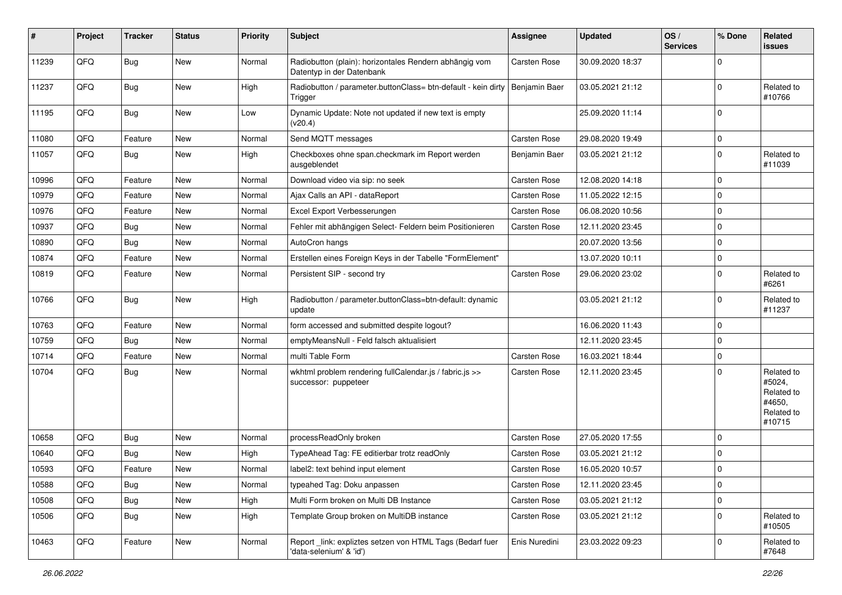| #     | Project | <b>Tracker</b> | <b>Status</b> | <b>Priority</b> | Subject                                                                              | Assignee            | <b>Updated</b>   | OS/<br><b>Services</b> | % Done      | Related<br><b>issues</b>                                             |
|-------|---------|----------------|---------------|-----------------|--------------------------------------------------------------------------------------|---------------------|------------------|------------------------|-------------|----------------------------------------------------------------------|
| 11239 | QFQ     | Bug            | New           | Normal          | Radiobutton (plain): horizontales Rendern abhängig vom<br>Datentyp in der Datenbank  | <b>Carsten Rose</b> | 30.09.2020 18:37 |                        | $\Omega$    |                                                                      |
| 11237 | QFQ     | <b>Bug</b>     | New           | High            | Radiobutton / parameter.buttonClass= btn-default - kein dirty<br>Trigger             | Benjamin Baer       | 03.05.2021 21:12 |                        | $\Omega$    | Related to<br>#10766                                                 |
| 11195 | QFQ     | Bug            | New           | Low             | Dynamic Update: Note not updated if new text is empty<br>(v20.4)                     |                     | 25.09.2020 11:14 |                        | $\Omega$    |                                                                      |
| 11080 | QFQ     | Feature        | <b>New</b>    | Normal          | Send MQTT messages                                                                   | <b>Carsten Rose</b> | 29.08.2020 19:49 |                        | 0           |                                                                      |
| 11057 | QFQ     | Bug            | New           | High            | Checkboxes ohne span.checkmark im Report werden<br>ausgeblendet                      | Benjamin Baer       | 03.05.2021 21:12 |                        | $\Omega$    | Related to<br>#11039                                                 |
| 10996 | QFQ     | Feature        | New           | Normal          | Download video via sip: no seek                                                      | <b>Carsten Rose</b> | 12.08.2020 14:18 |                        | $\mathbf 0$ |                                                                      |
| 10979 | QFQ     | Feature        | New           | Normal          | Ajax Calls an API - dataReport                                                       | <b>Carsten Rose</b> | 11.05.2022 12:15 |                        | $\Omega$    |                                                                      |
| 10976 | QFQ     | Feature        | <b>New</b>    | Normal          | Excel Export Verbesserungen                                                          | Carsten Rose        | 06.08.2020 10:56 |                        | $\Omega$    |                                                                      |
| 10937 | QFQ     | <b>Bug</b>     | New           | Normal          | Fehler mit abhängigen Select- Feldern beim Positionieren                             | <b>Carsten Rose</b> | 12.11.2020 23:45 |                        | $\Omega$    |                                                                      |
| 10890 | QFQ     | Bug            | <b>New</b>    | Normal          | AutoCron hangs                                                                       |                     | 20.07.2020 13:56 |                        | $\Omega$    |                                                                      |
| 10874 | QFQ     | Feature        | New           | Normal          | Erstellen eines Foreign Keys in der Tabelle "FormElement"                            |                     | 13.07.2020 10:11 |                        | $\mathbf 0$ |                                                                      |
| 10819 | QFQ     | Feature        | New           | Normal          | Persistent SIP - second try                                                          | <b>Carsten Rose</b> | 29.06.2020 23:02 |                        | $\Omega$    | Related to<br>#6261                                                  |
| 10766 | QFQ     | Bug            | New           | High            | Radiobutton / parameter.buttonClass=btn-default: dynamic<br>update                   |                     | 03.05.2021 21:12 |                        | $\Omega$    | Related to<br>#11237                                                 |
| 10763 | QFQ     | Feature        | <b>New</b>    | Normal          | form accessed and submitted despite logout?                                          |                     | 16.06.2020 11:43 |                        | $\mathbf 0$ |                                                                      |
| 10759 | QFQ     | Bug            | <b>New</b>    | Normal          | emptyMeansNull - Feld falsch aktualisiert                                            |                     | 12.11.2020 23:45 |                        | $\Omega$    |                                                                      |
| 10714 | QFQ     | Feature        | <b>New</b>    | Normal          | multi Table Form                                                                     | <b>Carsten Rose</b> | 16.03.2021 18:44 |                        | $\Omega$    |                                                                      |
| 10704 | QFQ     | Bug            | <b>New</b>    | Normal          | wkhtml problem rendering fullCalendar.js / fabric.js >><br>successor: puppeteer      | Carsten Rose        | 12.11.2020 23:45 |                        | $\Omega$    | Related to<br>#5024,<br>Related to<br>#4650.<br>Related to<br>#10715 |
| 10658 | QFQ     | <b>Bug</b>     | <b>New</b>    | Normal          | processReadOnly broken                                                               | <b>Carsten Rose</b> | 27.05.2020 17:55 |                        | $\mathbf 0$ |                                                                      |
| 10640 | QFQ     | <b>Bug</b>     | <b>New</b>    | High            | TypeAhead Tag: FE editierbar trotz readOnly                                          | <b>Carsten Rose</b> | 03.05.2021 21:12 |                        | $\Omega$    |                                                                      |
| 10593 | QFQ     | Feature        | New           | Normal          | label2: text behind input element                                                    | <b>Carsten Rose</b> | 16.05.2020 10:57 |                        | $\mathbf 0$ |                                                                      |
| 10588 | QFQ     | Bug            | <b>New</b>    | Normal          | typeahed Tag: Doku anpassen                                                          | Carsten Rose        | 12.11.2020 23:45 |                        | $\mathbf 0$ |                                                                      |
| 10508 | QFQ     | Bug            | <b>New</b>    | High            | Multi Form broken on Multi DB Instance                                               | Carsten Rose        | 03.05.2021 21:12 |                        | $\mathbf 0$ |                                                                      |
| 10506 | QFQ     | <b>Bug</b>     | New           | High            | Template Group broken on MultiDB instance                                            | Carsten Rose        | 03.05.2021 21:12 |                        | $\mathbf 0$ | Related to<br>#10505                                                 |
| 10463 | QFQ     | Feature        | New           | Normal          | Report _link: expliztes setzen von HTML Tags (Bedarf fuer<br>'data-selenium' & 'id') | Enis Nuredini       | 23.03.2022 09:23 |                        | $\mathbf 0$ | Related to<br>#7648                                                  |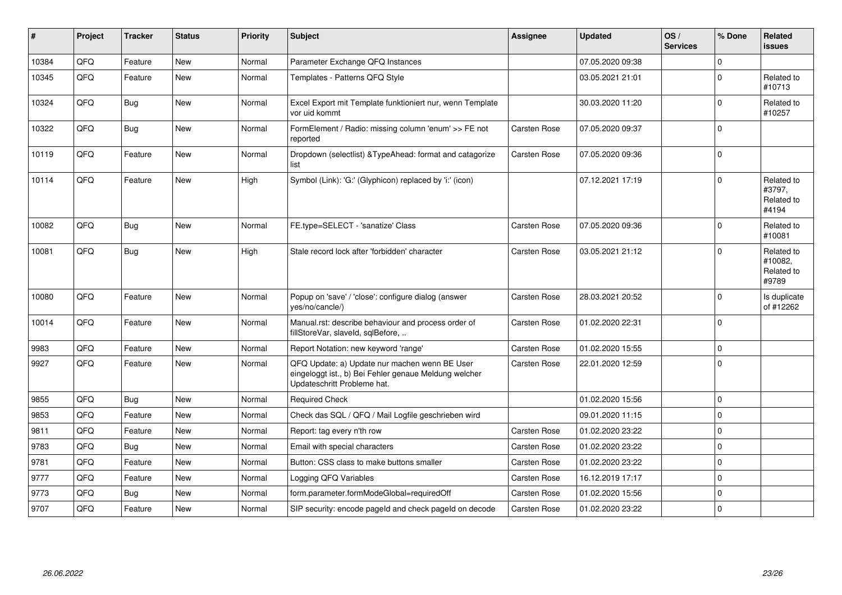| ∦     | Project | <b>Tracker</b> | <b>Status</b> | Priority | Subject                                                                                                                               | <b>Assignee</b>     | <b>Updated</b>   | OS/<br><b>Services</b> | % Done       | Related<br><b>issues</b>                     |
|-------|---------|----------------|---------------|----------|---------------------------------------------------------------------------------------------------------------------------------------|---------------------|------------------|------------------------|--------------|----------------------------------------------|
| 10384 | QFQ     | Feature        | <b>New</b>    | Normal   | Parameter Exchange QFQ Instances                                                                                                      |                     | 07.05.2020 09:38 |                        | $\mathbf{0}$ |                                              |
| 10345 | QFQ     | Feature        | <b>New</b>    | Normal   | Templates - Patterns QFQ Style                                                                                                        |                     | 03.05.2021 21:01 |                        | $\mathbf 0$  | Related to<br>#10713                         |
| 10324 | QFQ     | <b>Bug</b>     | New           | Normal   | Excel Export mit Template funktioniert nur, wenn Template<br>vor uid kommt                                                            |                     | 30.03.2020 11:20 |                        | $\mathbf 0$  | Related to<br>#10257                         |
| 10322 | QFQ     | <b>Bug</b>     | New           | Normal   | FormElement / Radio: missing column 'enum' >> FE not<br>reported                                                                      | Carsten Rose        | 07.05.2020 09:37 |                        | $\mathbf 0$  |                                              |
| 10119 | QFQ     | Feature        | <b>New</b>    | Normal   | Dropdown (selectlist) & Type Ahead: format and catagorize<br>list                                                                     | Carsten Rose        | 07.05.2020 09:36 |                        | $\pmb{0}$    |                                              |
| 10114 | QFQ     | Feature        | New           | High     | Symbol (Link): 'G:' (Glyphicon) replaced by 'i:' (icon)                                                                               |                     | 07.12.2021 17:19 |                        | $\Omega$     | Related to<br>#3797,<br>Related to<br>#4194  |
| 10082 | QFQ     | <b>Bug</b>     | New           | Normal   | FE.type=SELECT - 'sanatize' Class                                                                                                     | <b>Carsten Rose</b> | 07.05.2020 09:36 |                        | $\mathbf 0$  | Related to<br>#10081                         |
| 10081 | QFQ     | <b>Bug</b>     | <b>New</b>    | High     | Stale record lock after 'forbidden' character                                                                                         | <b>Carsten Rose</b> | 03.05.2021 21:12 |                        | $\Omega$     | Related to<br>#10082,<br>Related to<br>#9789 |
| 10080 | QFQ     | Feature        | <b>New</b>    | Normal   | Popup on 'save' / 'close': configure dialog (answer<br>yes/no/cancle/)                                                                | Carsten Rose        | 28.03.2021 20:52 |                        | $\mathbf 0$  | Is duplicate<br>of #12262                    |
| 10014 | QFQ     | Feature        | <b>New</b>    | Normal   | Manual.rst: describe behaviour and process order of<br>fillStoreVar, slaveId, sqlBefore,                                              | <b>Carsten Rose</b> | 01.02.2020 22:31 |                        | $\Omega$     |                                              |
| 9983  | QFQ     | Feature        | <b>New</b>    | Normal   | Report Notation: new keyword 'range'                                                                                                  | <b>Carsten Rose</b> | 01.02.2020 15:55 |                        | $\mathsf 0$  |                                              |
| 9927  | QFQ     | Feature        | <b>New</b>    | Normal   | QFQ Update: a) Update nur machen wenn BE User<br>eingeloggt ist., b) Bei Fehler genaue Meldung welcher<br>Updateschritt Probleme hat. | <b>Carsten Rose</b> | 22.01.2020 12:59 |                        | $\mathbf 0$  |                                              |
| 9855  | QFQ     | <b>Bug</b>     | <b>New</b>    | Normal   | <b>Required Check</b>                                                                                                                 |                     | 01.02.2020 15:56 |                        | $\pmb{0}$    |                                              |
| 9853  | QFQ     | Feature        | <b>New</b>    | Normal   | Check das SQL / QFQ / Mail Logfile geschrieben wird                                                                                   |                     | 09.01.2020 11:15 |                        | $\mathsf 0$  |                                              |
| 9811  | QFQ     | Feature        | New           | Normal   | Report: tag every n'th row                                                                                                            | Carsten Rose        | 01.02.2020 23:22 |                        | $\mathbf 0$  |                                              |
| 9783  | QFQ     | Bug            | New           | Normal   | Email with special characters                                                                                                         | <b>Carsten Rose</b> | 01.02.2020 23:22 |                        | $\mathbf 0$  |                                              |
| 9781  | QFQ     | Feature        | <b>New</b>    | Normal   | Button: CSS class to make buttons smaller                                                                                             | <b>Carsten Rose</b> | 01.02.2020 23:22 |                        | $\mathbf 0$  |                                              |
| 9777  | QFQ     | Feature        | New           | Normal   | Logging QFQ Variables                                                                                                                 | <b>Carsten Rose</b> | 16.12.2019 17:17 |                        | $\mathbf 0$  |                                              |
| 9773  | QFQ     | Bug            | New           | Normal   | form.parameter.formModeGlobal=requiredOff                                                                                             | <b>Carsten Rose</b> | 01.02.2020 15:56 |                        | $\mathbf 0$  |                                              |
| 9707  | QFQ     | Feature        | <b>New</b>    | Normal   | SIP security: encode pageld and check pageld on decode                                                                                | <b>Carsten Rose</b> | 01.02.2020 23:22 |                        | $\mathbf 0$  |                                              |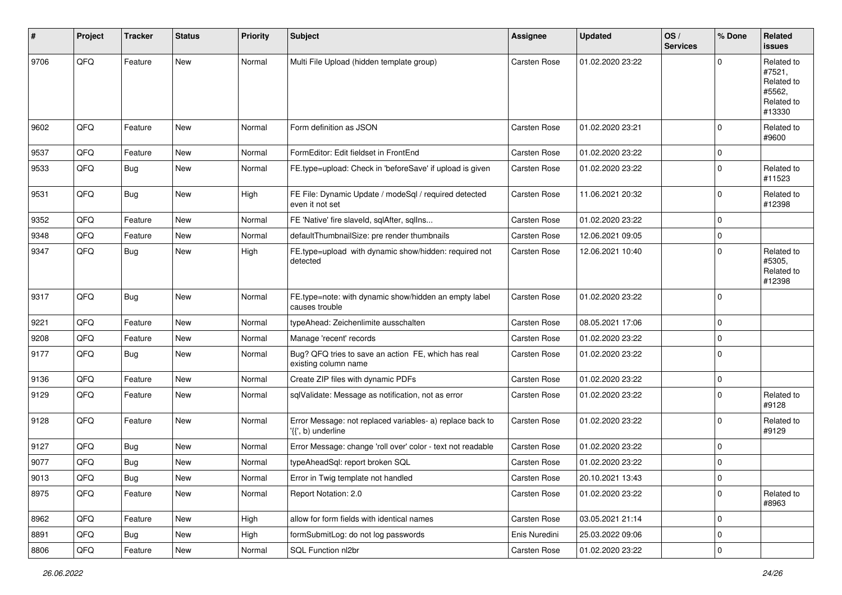| #    | Project        | <b>Tracker</b> | <b>Status</b> | <b>Priority</b> | <b>Subject</b>                                                                  | <b>Assignee</b>     | <b>Updated</b>   | OS/<br><b>Services</b> | % Done      | Related<br><b>issues</b>                                             |
|------|----------------|----------------|---------------|-----------------|---------------------------------------------------------------------------------|---------------------|------------------|------------------------|-------------|----------------------------------------------------------------------|
| 9706 | QFQ            | Feature        | <b>New</b>    | Normal          | Multi File Upload (hidden template group)                                       | Carsten Rose        | 01.02.2020 23:22 |                        | $\Omega$    | Related to<br>#7521,<br>Related to<br>#5562,<br>Related to<br>#13330 |
| 9602 | QFQ            | Feature        | <b>New</b>    | Normal          | Form definition as JSON                                                         | <b>Carsten Rose</b> | 01.02.2020 23:21 |                        | $\mathbf 0$ | Related to<br>#9600                                                  |
| 9537 | QFQ            | Feature        | <b>New</b>    | Normal          | FormEditor: Edit fieldset in FrontEnd                                           | <b>Carsten Rose</b> | 01.02.2020 23:22 |                        | $\mathbf 0$ |                                                                      |
| 9533 | QFQ            | <b>Bug</b>     | <b>New</b>    | Normal          | FE.type=upload: Check in 'beforeSave' if upload is given                        | Carsten Rose        | 01.02.2020 23:22 |                        | $\mathbf 0$ | Related to<br>#11523                                                 |
| 9531 | QFQ            | <b>Bug</b>     | <b>New</b>    | High            | FE File: Dynamic Update / modeSql / required detected<br>even it not set        | <b>Carsten Rose</b> | 11.06.2021 20:32 |                        | $\mathbf 0$ | Related to<br>#12398                                                 |
| 9352 | QFQ            | Feature        | New           | Normal          | FE 'Native' fire slaveld, sqlAfter, sqlIns                                      | <b>Carsten Rose</b> | 01.02.2020 23:22 |                        | $\mathbf 0$ |                                                                      |
| 9348 | QFQ            | Feature        | <b>New</b>    | Normal          | defaultThumbnailSize: pre render thumbnails                                     | Carsten Rose        | 12.06.2021 09:05 |                        | $\mathbf 0$ |                                                                      |
| 9347 | QFQ            | <b>Bug</b>     | New           | High            | FE.type=upload with dynamic show/hidden: required not<br>detected               | Carsten Rose        | 12.06.2021 10:40 |                        | $\mathbf 0$ | Related to<br>#5305,<br>Related to<br>#12398                         |
| 9317 | QFQ            | <b>Bug</b>     | <b>New</b>    | Normal          | FE.type=note: with dynamic show/hidden an empty label<br>causes trouble         | <b>Carsten Rose</b> | 01.02.2020 23:22 |                        | $\mathbf 0$ |                                                                      |
| 9221 | QFQ            | Feature        | <b>New</b>    | Normal          | typeAhead: Zeichenlimite ausschalten                                            | Carsten Rose        | 08.05.2021 17:06 |                        | $\mathbf 0$ |                                                                      |
| 9208 | QFQ            | Feature        | New           | Normal          | Manage 'recent' records                                                         | <b>Carsten Rose</b> | 01.02.2020 23:22 |                        | $\mathbf 0$ |                                                                      |
| 9177 | QFQ            | <b>Bug</b>     | New           | Normal          | Bug? QFQ tries to save an action FE, which has real<br>existing column name     | Carsten Rose        | 01.02.2020 23:22 |                        | $\mathbf 0$ |                                                                      |
| 9136 | QFQ            | Feature        | <b>New</b>    | Normal          | Create ZIP files with dynamic PDFs                                              | Carsten Rose        | 01.02.2020 23:22 |                        | $\mathbf 0$ |                                                                      |
| 9129 | QFQ            | Feature        | New           | Normal          | sqlValidate: Message as notification, not as error                              | Carsten Rose        | 01.02.2020 23:22 |                        | $\mathbf 0$ | Related to<br>#9128                                                  |
| 9128 | QFQ            | Feature        | <b>New</b>    | Normal          | Error Message: not replaced variables- a) replace back to<br>'{{', b) underline | <b>Carsten Rose</b> | 01.02.2020 23:22 |                        | $\mathbf 0$ | Related to<br>#9129                                                  |
| 9127 | QFQ            | <b>Bug</b>     | <b>New</b>    | Normal          | Error Message: change 'roll over' color - text not readable                     | <b>Carsten Rose</b> | 01.02.2020 23:22 |                        | $\mathbf 0$ |                                                                      |
| 9077 | QFQ            | <b>Bug</b>     | New           | Normal          | typeAheadSql: report broken SQL                                                 | Carsten Rose        | 01.02.2020 23:22 |                        | $\mathbf 0$ |                                                                      |
| 9013 | $\mathsf{QFQ}$ | Bug            | New           | Normal          | Error in Twig template not handled                                              | Carsten Rose        | 20.10.2021 13:43 |                        | $\mathbf 0$ |                                                                      |
| 8975 | QFQ            | Feature        | New           | Normal          | Report Notation: 2.0                                                            | Carsten Rose        | 01.02.2020 23:22 |                        | $\mathbf 0$ | Related to<br>#8963                                                  |
| 8962 | QFQ            | Feature        | New           | High            | allow for form fields with identical names                                      | Carsten Rose        | 03.05.2021 21:14 |                        | $\mathbf 0$ |                                                                      |
| 8891 | QFQ            | Bug            | New           | High            | formSubmitLog: do not log passwords                                             | Enis Nuredini       | 25.03.2022 09:06 |                        | $\mathbf 0$ |                                                                      |
| 8806 | QFG            | Feature        | New           | Normal          | SQL Function nl2br                                                              | Carsten Rose        | 01.02.2020 23:22 |                        | $\mathsf 0$ |                                                                      |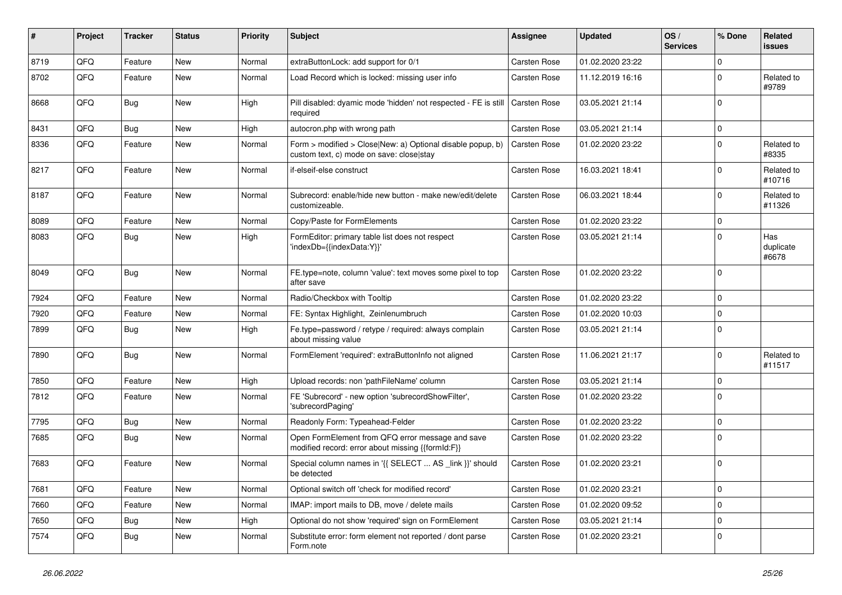| #    | Project | <b>Tracker</b> | <b>Status</b> | <b>Priority</b> | <b>Subject</b>                                                                                         | <b>Assignee</b>     | <b>Updated</b>   | OS/<br><b>Services</b> | % Done      | Related<br><b>issues</b>  |
|------|---------|----------------|---------------|-----------------|--------------------------------------------------------------------------------------------------------|---------------------|------------------|------------------------|-------------|---------------------------|
| 8719 | QFQ     | Feature        | <b>New</b>    | Normal          | extraButtonLock: add support for 0/1                                                                   | <b>Carsten Rose</b> | 01.02.2020 23:22 |                        | $\mathbf 0$ |                           |
| 8702 | QFQ     | Feature        | <b>New</b>    | Normal          | Load Record which is locked: missing user info                                                         | <b>Carsten Rose</b> | 11.12.2019 16:16 |                        | $\mathbf 0$ | Related to<br>#9789       |
| 8668 | QFQ     | <b>Bug</b>     | New           | High            | Pill disabled: dyamic mode 'hidden' not respected - FE is still<br>required                            | <b>Carsten Rose</b> | 03.05.2021 21:14 |                        | $\mathbf 0$ |                           |
| 8431 | QFQ     | <b>Bug</b>     | <b>New</b>    | High            | autocron.php with wrong path                                                                           | Carsten Rose        | 03.05.2021 21:14 |                        | $\mathbf 0$ |                           |
| 8336 | QFQ     | Feature        | <b>New</b>    | Normal          | Form > modified > Close New: a) Optional disable popup, b)<br>custom text, c) mode on save: closelstay | <b>Carsten Rose</b> | 01.02.2020 23:22 |                        | $\mathbf 0$ | Related to<br>#8335       |
| 8217 | QFQ     | Feature        | New           | Normal          | if-elseif-else construct                                                                               | <b>Carsten Rose</b> | 16.03.2021 18:41 |                        | $\mathbf 0$ | Related to<br>#10716      |
| 8187 | QFQ     | Feature        | New           | Normal          | Subrecord: enable/hide new button - make new/edit/delete<br>customizeable.                             | <b>Carsten Rose</b> | 06.03.2021 18:44 |                        | $\mathbf 0$ | Related to<br>#11326      |
| 8089 | QFQ     | Feature        | <b>New</b>    | Normal          | Copy/Paste for FormElements                                                                            | <b>Carsten Rose</b> | 01.02.2020 23:22 |                        | $\mathbf 0$ |                           |
| 8083 | QFQ     | <b>Bug</b>     | <b>New</b>    | High            | FormEditor: primary table list does not respect<br>'indexDb={{indexData:Y}}'                           | Carsten Rose        | 03.05.2021 21:14 |                        | $\mathbf 0$ | Has<br>duplicate<br>#6678 |
| 8049 | QFQ     | <b>Bug</b>     | <b>New</b>    | Normal          | FE.type=note, column 'value': text moves some pixel to top<br>after save                               | <b>Carsten Rose</b> | 01.02.2020 23:22 |                        | $\mathbf 0$ |                           |
| 7924 | QFQ     | Feature        | <b>New</b>    | Normal          | Radio/Checkbox with Tooltip                                                                            | Carsten Rose        | 01.02.2020 23:22 |                        | $\mathbf 0$ |                           |
| 7920 | QFQ     | Feature        | <b>New</b>    | Normal          | FE: Syntax Highlight, Zeinlenumbruch                                                                   | <b>Carsten Rose</b> | 01.02.2020 10:03 |                        | $\mathbf 0$ |                           |
| 7899 | QFQ     | <b>Bug</b>     | <b>New</b>    | High            | Fe.type=password / retype / required: always complain<br>about missing value                           | <b>Carsten Rose</b> | 03.05.2021 21:14 |                        | $\mathbf 0$ |                           |
| 7890 | QFQ     | <b>Bug</b>     | New           | Normal          | FormElement 'required': extraButtonInfo not aligned                                                    | <b>Carsten Rose</b> | 11.06.2021 21:17 |                        | $\mathbf 0$ | Related to<br>#11517      |
| 7850 | QFQ     | Feature        | <b>New</b>    | High            | Upload records: non 'pathFileName' column                                                              | <b>Carsten Rose</b> | 03.05.2021 21:14 |                        | $\mathbf 0$ |                           |
| 7812 | QFQ     | Feature        | <b>New</b>    | Normal          | FE 'Subrecord' - new option 'subrecordShowFilter',<br>'subrecordPaging'                                | <b>Carsten Rose</b> | 01.02.2020 23:22 |                        | $\mathbf 0$ |                           |
| 7795 | QFQ     | <b>Bug</b>     | <b>New</b>    | Normal          | Readonly Form: Typeahead-Felder                                                                        | <b>Carsten Rose</b> | 01.02.2020 23:22 |                        | $\mathbf 0$ |                           |
| 7685 | QFQ     | <b>Bug</b>     | <b>New</b>    | Normal          | Open FormElement from QFQ error message and save<br>modified record: error about missing {{formId:F}}  | <b>Carsten Rose</b> | 01.02.2020 23:22 |                        | $\mathbf 0$ |                           |
| 7683 | QFQ     | Feature        | <b>New</b>    | Normal          | Special column names in '{{ SELECT  AS _link }}' should<br>be detected                                 | <b>Carsten Rose</b> | 01.02.2020 23:21 |                        | $\mathbf 0$ |                           |
| 7681 | QFQ     | Feature        | New           | Normal          | Optional switch off 'check for modified record'                                                        | Carsten Rose        | 01.02.2020 23:21 |                        | $\mathbf 0$ |                           |
| 7660 | QFQ     | Feature        | New           | Normal          | IMAP: import mails to DB, move / delete mails                                                          | Carsten Rose        | 01.02.2020 09:52 |                        | $\mathbf 0$ |                           |
| 7650 | QFQ     | <b>Bug</b>     | New           | High            | Optional do not show 'required' sign on FormElement                                                    | Carsten Rose        | 03.05.2021 21:14 |                        | $\mathbf 0$ |                           |
| 7574 | QFQ     | <b>Bug</b>     | New           | Normal          | Substitute error: form element not reported / dont parse<br>Form.note                                  | Carsten Rose        | 01.02.2020 23:21 |                        | $\mathbf 0$ |                           |